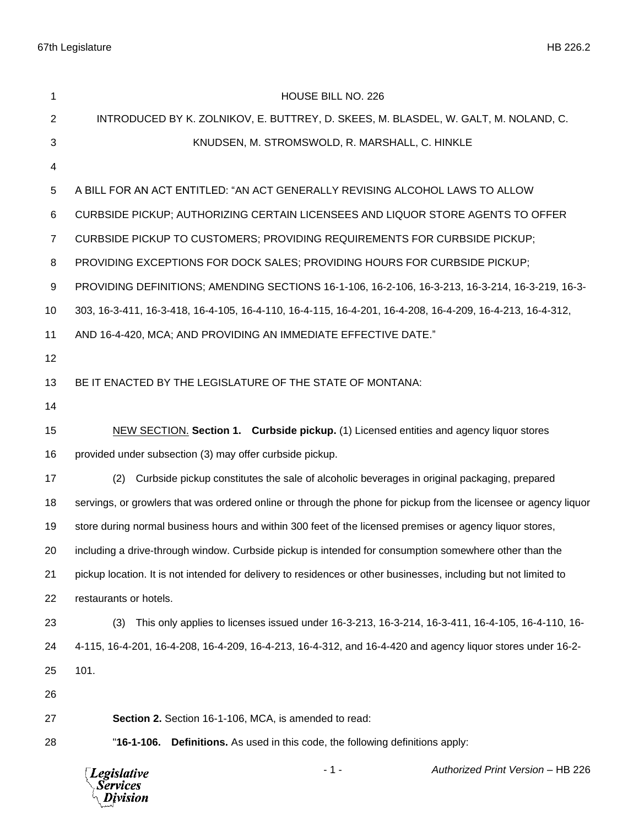| 1              | HOUSE BILL NO. 226                                                                                               |
|----------------|------------------------------------------------------------------------------------------------------------------|
| $\overline{c}$ | INTRODUCED BY K. ZOLNIKOV, E. BUTTREY, D. SKEES, M. BLASDEL, W. GALT, M. NOLAND, C.                              |
| 3              | KNUDSEN, M. STROMSWOLD, R. MARSHALL, C. HINKLE                                                                   |
| 4              |                                                                                                                  |
| 5              | A BILL FOR AN ACT ENTITLED: "AN ACT GENERALLY REVISING ALCOHOL LAWS TO ALLOW                                     |
| 6              | CURBSIDE PICKUP; AUTHORIZING CERTAIN LICENSEES AND LIQUOR STORE AGENTS TO OFFER                                  |
| 7              | CURBSIDE PICKUP TO CUSTOMERS; PROVIDING REQUIREMENTS FOR CURBSIDE PICKUP;                                        |
| 8              | PROVIDING EXCEPTIONS FOR DOCK SALES; PROVIDING HOURS FOR CURBSIDE PICKUP;                                        |
| 9              | PROVIDING DEFINITIONS; AMENDING SECTIONS 16-1-106, 16-2-106, 16-3-213, 16-3-214, 16-3-219, 16-3-                 |
| 10             | 303, 16-3-411, 16-3-418, 16-4-105, 16-4-110, 16-4-115, 16-4-201, 16-4-208, 16-4-209, 16-4-213, 16-4-312,         |
| 11             | AND 16-4-420, MCA; AND PROVIDING AN IMMEDIATE EFFECTIVE DATE."                                                   |
| 12             |                                                                                                                  |
| 13             | BE IT ENACTED BY THE LEGISLATURE OF THE STATE OF MONTANA:                                                        |
| 14             |                                                                                                                  |
| 15             | NEW SECTION. Section 1. Curbside pickup. (1) Licensed entities and agency liquor stores                          |
| 16             | provided under subsection (3) may offer curbside pickup.                                                         |
| 17             | Curbside pickup constitutes the sale of alcoholic beverages in original packaging, prepared<br>(2)               |
| 18             | servings, or growlers that was ordered online or through the phone for pickup from the licensee or agency liquor |
| 19             | store during normal business hours and within 300 feet of the licensed premises or agency liquor stores,         |
| 20             | including a drive-through window. Curbside pickup is intended for consumption somewhere other than the           |
| 21             | pickup location. It is not intended for delivery to residences or other businesses, including but not limited to |
| 22             | restaurants or hotels.                                                                                           |
| 23             | This only applies to licenses issued under 16-3-213, 16-3-214, 16-3-411, 16-4-105, 16-4-110, 16-<br>(3)          |
| 24             | 4-115, 16-4-201, 16-4-208, 16-4-209, 16-4-213, 16-4-312, and 16-4-420 and agency liquor stores under 16-2-       |
| 25             | 101.                                                                                                             |
| 26             |                                                                                                                  |
| 27             | Section 2. Section 16-1-106, MCA, is amended to read:                                                            |
| 28             | "16-1-106.<br><b>Definitions.</b> As used in this code, the following definitions apply:                         |
|                | $-1-$<br>Authorized Print Version - HB 226<br><b>Legislative</b><br>Services<br>Division                         |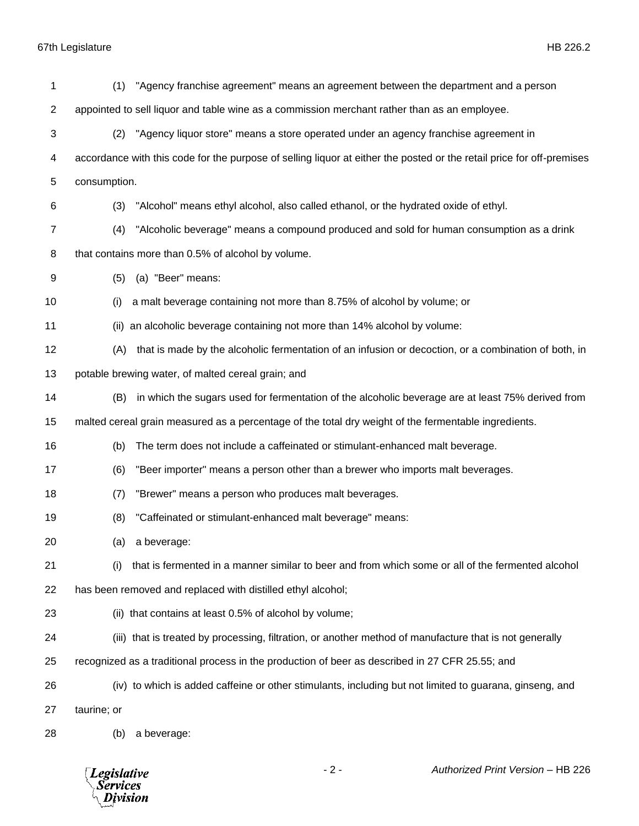| 1                       | "Agency franchise agreement" means an agreement between the department and a person<br>(1)                            |
|-------------------------|-----------------------------------------------------------------------------------------------------------------------|
| $\overline{\mathbf{c}}$ | appointed to sell liquor and table wine as a commission merchant rather than as an employee.                          |
| 3                       | "Agency liquor store" means a store operated under an agency franchise agreement in<br>(2)                            |
| 4                       | accordance with this code for the purpose of selling liquor at either the posted or the retail price for off-premises |
| 5                       | consumption.                                                                                                          |
| 6                       | "Alcohol" means ethyl alcohol, also called ethanol, or the hydrated oxide of ethyl.<br>(3)                            |
| 7                       | (4)<br>"Alcoholic beverage" means a compound produced and sold for human consumption as a drink                       |
| 8                       | that contains more than 0.5% of alcohol by volume.                                                                    |
| 9                       | (a) "Beer" means:<br>(5)                                                                                              |
| 10                      | a malt beverage containing not more than 8.75% of alcohol by volume; or<br>(i)                                        |
| 11                      | (ii) an alcoholic beverage containing not more than 14% alcohol by volume:                                            |
| 12                      | that is made by the alcoholic fermentation of an infusion or decoction, or a combination of both, in<br>(A)           |
| 13                      | potable brewing water, of malted cereal grain; and                                                                    |
| 14                      | in which the sugars used for fermentation of the alcoholic beverage are at least 75% derived from<br>(B)              |
| 15                      | malted cereal grain measured as a percentage of the total dry weight of the fermentable ingredients.                  |
| 16                      | The term does not include a caffeinated or stimulant-enhanced malt beverage.<br>(b)                                   |
| 17                      | "Beer importer" means a person other than a brewer who imports malt beverages.<br>(6)                                 |
| 18                      | "Brewer" means a person who produces malt beverages.<br>(7)                                                           |
| 19                      | (8)<br>"Caffeinated or stimulant-enhanced malt beverage" means:                                                       |
| 20                      | (a)<br>a beverage:                                                                                                    |
| 21                      | that is fermented in a manner similar to beer and from which some or all of the fermented alcohol<br>(i)              |
| 22                      | has been removed and replaced with distilled ethyl alcohol;                                                           |
| 23                      | (ii) that contains at least 0.5% of alcohol by volume;                                                                |
| 24                      | (iii) that is treated by processing, filtration, or another method of manufacture that is not generally               |
| 25                      | recognized as a traditional process in the production of beer as described in 27 CFR 25.55; and                       |
| 26                      | (iv) to which is added caffeine or other stimulants, including but not limited to guarana, ginseng, and               |
| 27                      | taurine; or                                                                                                           |
| 28                      | a beverage:<br>(b)                                                                                                    |

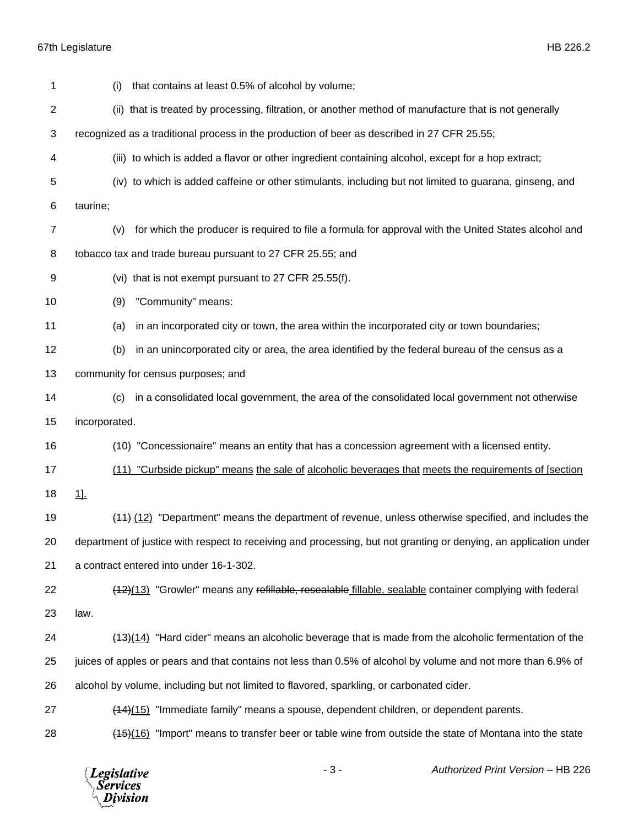| 1              | that contains at least 0.5% of alcohol by volume;<br>(i)                                                          |
|----------------|-------------------------------------------------------------------------------------------------------------------|
| 2              | (ii) that is treated by processing, filtration, or another method of manufacture that is not generally            |
| 3              | recognized as a traditional process in the production of beer as described in 27 CFR 25.55;                       |
| 4              | (iii) to which is added a flavor or other ingredient containing alcohol, except for a hop extract;                |
| 5              | (iv) to which is added caffeine or other stimulants, including but not limited to guarana, ginseng, and           |
| 6              | taurine;                                                                                                          |
| $\overline{7}$ | for which the producer is required to file a formula for approval with the United States alcohol and<br>(v)       |
| 8              | tobacco tax and trade bureau pursuant to 27 CFR 25.55; and                                                        |
| 9              | (vi) that is not exempt pursuant to 27 CFR 25.55(f).                                                              |
| 10             | "Community" means:<br>(9)                                                                                         |
| 11             | in an incorporated city or town, the area within the incorporated city or town boundaries;<br>(a)                 |
| 12             | in an unincorporated city or area, the area identified by the federal bureau of the census as a<br>(b)            |
| 13             | community for census purposes; and                                                                                |
| 14             | in a consolidated local government, the area of the consolidated local government not otherwise<br>(c)            |
| 15             | incorporated.                                                                                                     |
| 16             | (10) "Concessionaire" means an entity that has a concession agreement with a licensed entity.                     |
| 17             | (11) "Curbside pickup" means the sale of alcoholic beverages that meets the requirements of [section              |
| 18             | $1$ .                                                                                                             |
| 19             | (44) (12) "Department" means the department of revenue, unless otherwise specified, and includes the              |
| 20             | department of justice with respect to receiving and processing, but not granting or denying, an application under |
| 21             | a contract entered into under 16-1-302.                                                                           |
| 22             | (12)(13) "Growler" means any refillable, resealable fillable, sealable container complying with federal           |
| 23             | law.                                                                                                              |
| 24             | (13)(14) "Hard cider" means an alcoholic beverage that is made from the alcoholic fermentation of the             |
| 25             | juices of apples or pears and that contains not less than 0.5% of alcohol by volume and not more than 6.9% of     |
| 26             | alcohol by volume, including but not limited to flavored, sparkling, or carbonated cider.                         |
| 27             | $(14)(15)$ "Immediate family" means a spouse, dependent children, or dependent parents.                           |
| 28             | (16) "Import" means to transfer beer or table wine from outside the state of Montana into the state               |

*Legislative*<br>Services<br>*Division*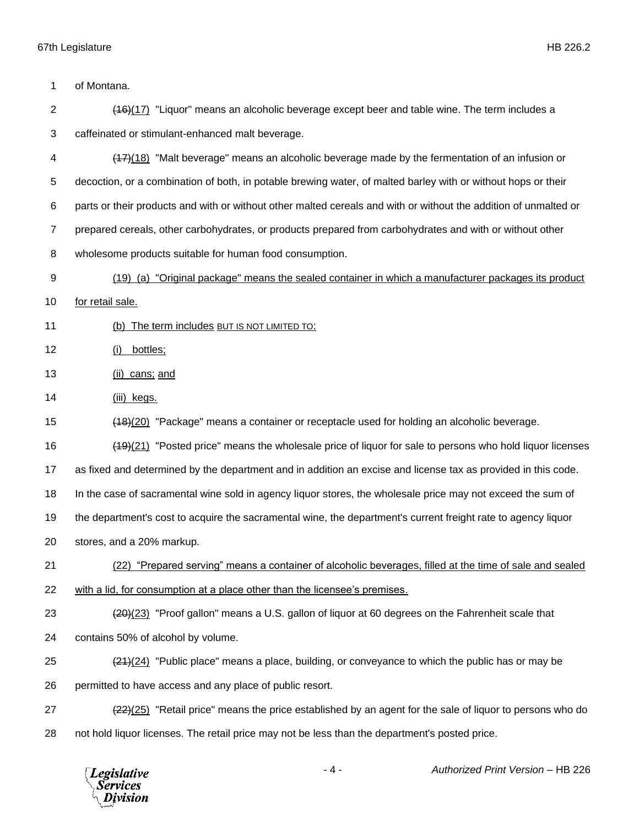of Montana.

 (16)(17) "Liquor" means an alcoholic beverage except beer and table wine. The term includes a caffeinated or stimulant-enhanced malt beverage.

 (17)(18) "Malt beverage" means an alcoholic beverage made by the fermentation of an infusion or decoction, or a combination of both, in potable brewing water, of malted barley with or without hops or their parts or their products and with or without other malted cereals and with or without the addition of unmalted or prepared cereals, other carbohydrates, or products prepared from carbohydrates and with or without other wholesome products suitable for human food consumption.

(19) (a) "Original package" means the sealed container in which a manufacturer packages its product

for retail sale.

(b) The term includes BUT IS NOT LIMITED TO:

(i) bottles;

(ii) cans; and

(iii) kegs.

(18)(20) "Package" means a container or receptacle used for holding an alcoholic beverage.

(19)(21) "Posted price" means the wholesale price of liquor for sale to persons who hold liquor licenses

as fixed and determined by the department and in addition an excise and license tax as provided in this code.

In the case of sacramental wine sold in agency liquor stores, the wholesale price may not exceed the sum of

the department's cost to acquire the sacramental wine, the department's current freight rate to agency liquor

stores, and a 20% markup.

(22) "Prepared serving" means a container of alcoholic beverages, filled at the time of sale and sealed

with a lid, for consumption at a place other than the licensee's premises.

(20)(23) "Proof gallon" means a U.S. gallon of liquor at 60 degrees on the Fahrenheit scale that

contains 50% of alcohol by volume.

25  $(24)(24)$  "Public place" means a place, building, or conveyance to which the public has or may be

26 permitted to have access and any place of public resort.

27 (22)(25) "Retail price" means the price established by an agent for the sale of liquor to persons who do not hold liquor licenses. The retail price may not be less than the department's posted price.

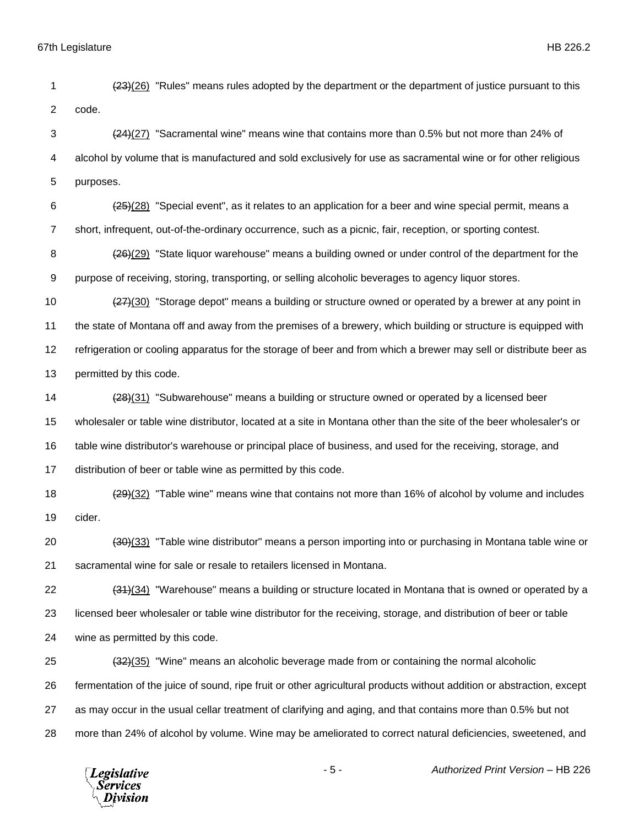(23)(26) "Rules" means rules adopted by the department or the department of justice pursuant to this code. (24)(27) "Sacramental wine" means wine that contains more than 0.5% but not more than 24% of alcohol by volume that is manufactured and sold exclusively for use as sacramental wine or for other religious purposes.  $(25)(28)$  "Special event", as it relates to an application for a beer and wine special permit, means a short, infrequent, out-of-the-ordinary occurrence, such as a picnic, fair, reception, or sporting contest. 8 (26)(29) "State liquor warehouse" means a building owned or under control of the department for the purpose of receiving, storing, transporting, or selling alcoholic beverages to agency liquor stores. 10 (27)(30) "Storage depot" means a building or structure owned or operated by a brewer at any point in the state of Montana off and away from the premises of a brewery, which building or structure is equipped with refrigeration or cooling apparatus for the storage of beer and from which a brewer may sell or distribute beer as permitted by this code. 14 (28)(31) "Subwarehouse" means a building or structure owned or operated by a licensed beer wholesaler or table wine distributor, located at a site in Montana other than the site of the beer wholesaler's or table wine distributor's warehouse or principal place of business, and used for the receiving, storage, and distribution of beer or table wine as permitted by this code.  $(29)(32)$  "Table wine" means wine that contains not more than 16% of alcohol by volume and includes cider. (30)(33) "Table wine distributor" means a person importing into or purchasing in Montana table wine or sacramental wine for sale or resale to retailers licensed in Montana. (31)(34) "Warehouse" means a building or structure located in Montana that is owned or operated by a licensed beer wholesaler or table wine distributor for the receiving, storage, and distribution of beer or table

wine as permitted by this code.

 (32)(35) "Wine" means an alcoholic beverage made from or containing the normal alcoholic fermentation of the juice of sound, ripe fruit or other agricultural products without addition or abstraction, except as may occur in the usual cellar treatment of clarifying and aging, and that contains more than 0.5% but not more than 24% of alcohol by volume. Wine may be ameliorated to correct natural deficiencies, sweetened, and

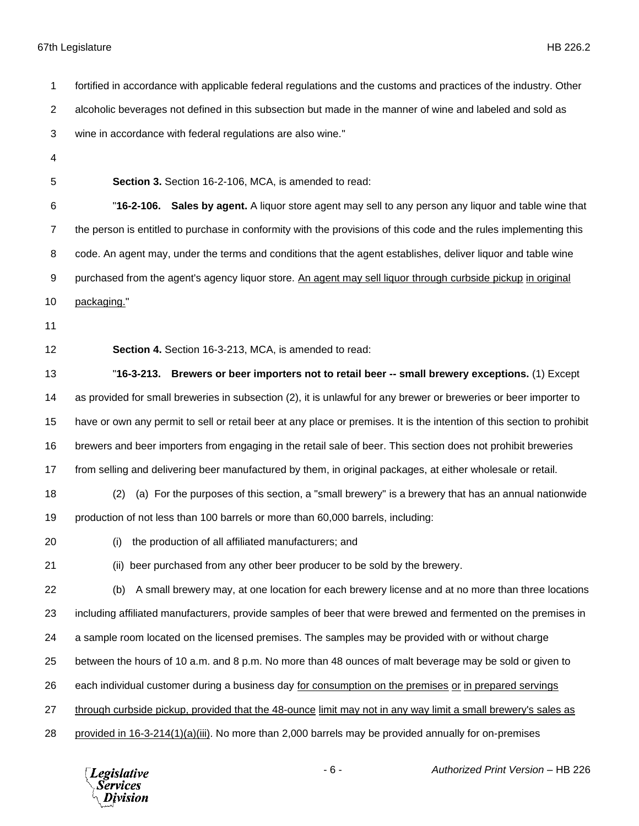fortified in accordance with applicable federal regulations and the customs and practices of the industry. Other alcoholic beverages not defined in this subsection but made in the manner of wine and labeled and sold as wine in accordance with federal regulations are also wine." **Section 3.** Section 16-2-106, MCA, is amended to read: "**16-2-106. Sales by agent.** A liquor store agent may sell to any person any liquor and table wine that the person is entitled to purchase in conformity with the provisions of this code and the rules implementing this code. An agent may, under the terms and conditions that the agent establishes, deliver liquor and table wine purchased from the agent's agency liquor store. An agent may sell liquor through curbside pickup in original packaging." **Section 4.** Section 16-3-213, MCA, is amended to read: "**16-3-213. Brewers or beer importers not to retail beer -- small brewery exceptions.** (1) Except as provided for small breweries in subsection (2), it is unlawful for any brewer or breweries or beer importer to have or own any permit to sell or retail beer at any place or premises. It is the intention of this section to prohibit brewers and beer importers from engaging in the retail sale of beer. This section does not prohibit breweries from selling and delivering beer manufactured by them, in original packages, at either wholesale or retail. (2) (a) For the purposes of this section, a "small brewery" is a brewery that has an annual nationwide production of not less than 100 barrels or more than 60,000 barrels, including: (i) the production of all affiliated manufacturers; and (ii) beer purchased from any other beer producer to be sold by the brewery. (b) A small brewery may, at one location for each brewery license and at no more than three locations including affiliated manufacturers, provide samples of beer that were brewed and fermented on the premises in a sample room located on the licensed premises. The samples may be provided with or without charge between the hours of 10 a.m. and 8 p.m. No more than 48 ounces of malt beverage may be sold or given to each individual customer during a business day for consumption on the premises or in prepared servings through curbside pickup, provided that the 48-ounce limit may not in any way limit a small brewery's sales as provided in 16-3-214(1)(a)(iii). No more than 2,000 barrels may be provided annually for on-premises

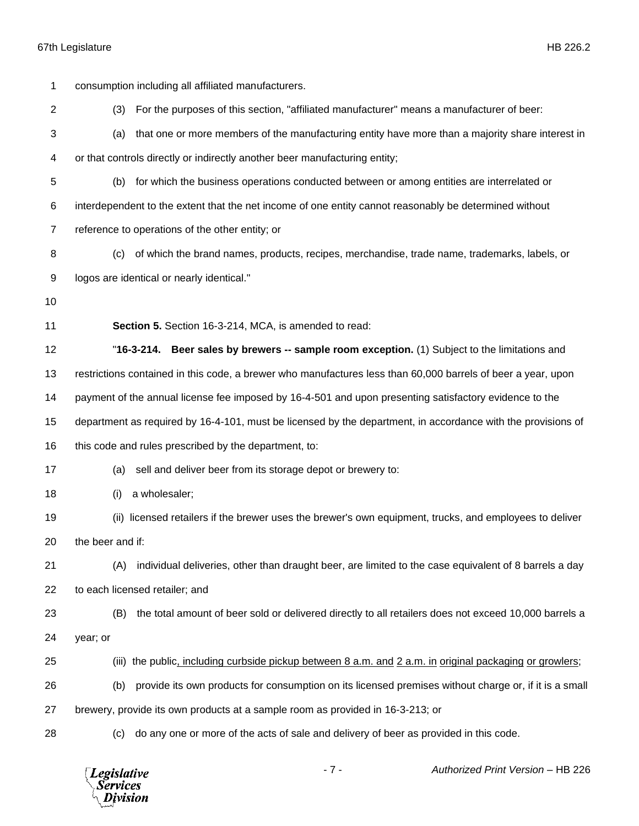| 1              | consumption including all affiliated manufacturers.                                                          |
|----------------|--------------------------------------------------------------------------------------------------------------|
| $\overline{c}$ | For the purposes of this section, "affiliated manufacturer" means a manufacturer of beer:<br>(3)             |
| 3              | that one or more members of the manufacturing entity have more than a majority share interest in<br>(a)      |
| 4              | or that controls directly or indirectly another beer manufacturing entity;                                   |
| 5              | for which the business operations conducted between or among entities are interrelated or<br>(b)             |
| 6              | interdependent to the extent that the net income of one entity cannot reasonably be determined without       |
| $\overline{7}$ | reference to operations of the other entity; or                                                              |
| 8              | of which the brand names, products, recipes, merchandise, trade name, trademarks, labels, or<br>(c)          |
| 9              | logos are identical or nearly identical."                                                                    |
| 10             |                                                                                                              |
| 11             | Section 5. Section 16-3-214, MCA, is amended to read:                                                        |
| 12             | Beer sales by brewers -- sample room exception. (1) Subject to the limitations and<br>"16-3-214.             |
| 13             | restrictions contained in this code, a brewer who manufactures less than 60,000 barrels of beer a year, upon |
| 14             | payment of the annual license fee imposed by 16-4-501 and upon presenting satisfactory evidence to the       |
| 15             | department as required by 16-4-101, must be licensed by the department, in accordance with the provisions of |
| 16             | this code and rules prescribed by the department, to:                                                        |
| 17             | sell and deliver beer from its storage depot or brewery to:<br>(a)                                           |
| 18             | a wholesaler;<br>(i)                                                                                         |
| 19             | licensed retailers if the brewer uses the brewer's own equipment, trucks, and employees to deliver<br>(ii)   |
| 20             | the beer and if:                                                                                             |
| 21             | individual deliveries, other than draught beer, are limited to the case equivalent of 8 barrels a day<br>(A) |
| 22             | to each licensed retailer; and                                                                               |
| 23             | the total amount of beer sold or delivered directly to all retailers does not exceed 10,000 barrels a<br>(B) |
| 24             | year; or                                                                                                     |
| 25             | (iii) the public, including curbside pickup between 8 a.m. and 2 a.m. in original packaging or growlers;     |
| 26             | provide its own products for consumption on its licensed premises without charge or, if it is a small<br>(b) |
| 27             | brewery, provide its own products at a sample room as provided in 16-3-213; or                               |
| 28             | do any one or more of the acts of sale and delivery of beer as provided in this code.<br>(C)                 |

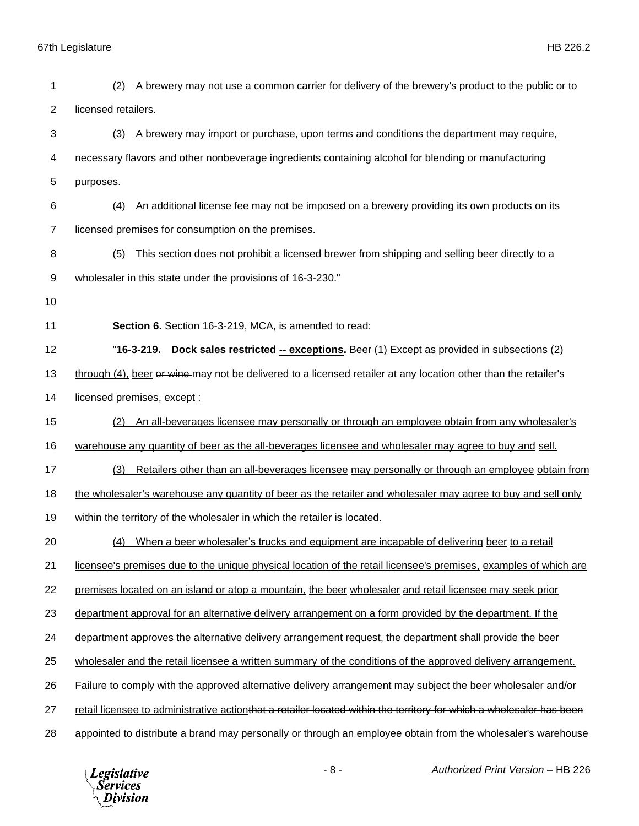| 1              | A brewery may not use a common carrier for delivery of the brewery's product to the public or to<br>(2)              |
|----------------|----------------------------------------------------------------------------------------------------------------------|
| $\overline{2}$ | licensed retailers.                                                                                                  |
| 3              | A brewery may import or purchase, upon terms and conditions the department may require,<br>(3)                       |
| 4              | necessary flavors and other nonbeverage ingredients containing alcohol for blending or manufacturing                 |
| 5              | purposes.                                                                                                            |
| 6              | An additional license fee may not be imposed on a brewery providing its own products on its<br>(4)                   |
| 7              | licensed premises for consumption on the premises.                                                                   |
| 8              | This section does not prohibit a licensed brewer from shipping and selling beer directly to a<br>(5)                 |
| 9              | wholesaler in this state under the provisions of 16-3-230."                                                          |
| 10             |                                                                                                                      |
| 11             | Section 6. Section 16-3-219, MCA, is amended to read:                                                                |
| 12             | "16-3-219. Dock sales restricted -- exceptions. Beer (1) Except as provided in subsections (2)                       |
| 13             | through (4), beer or wine may not be delivered to a licensed retailer at any location other than the retailer's      |
| 14             | licensed premises, except:                                                                                           |
| 15             | An all-beverages licensee may personally or through an employee obtain from any wholesaler's<br>(2)                  |
| 16             | warehouse any quantity of beer as the all-beverages licensee and wholesaler may agree to buy and sell.               |
| 17             | Retailers other than an all-beverages licensee may personally or through an employee obtain from<br>(3)              |
| 18             | the wholesaler's warehouse any quantity of beer as the retailer and wholesaler may agree to buy and sell only        |
| 19             | within the territory of the wholesaler in which the retailer is located.                                             |
| 20             | (4) When a beer wholesaler's trucks and equipment are incapable of delivering beer to a retail                       |
| 21             | licensee's premises due to the unique physical location of the retail licensee's premises, examples of which are     |
| 22             | premises located on an island or atop a mountain, the beer wholesaler and retail licensee may seek prior             |
| 23             | department approval for an alternative delivery arrangement on a form provided by the department. If the             |
| 24             | department approves the alternative delivery arrangement request, the department shall provide the beer              |
| 25             | wholesaler and the retail licensee a written summary of the conditions of the approved delivery arrangement.         |
| 26             | Failure to comply with the approved alternative delivery arrangement may subject the beer wholesaler and/or          |
| 27             | retail licensee to administrative actionthat a retailer located within the territory for which a wholesaler has been |
| 28             | appointed to distribute a brand may personally or through an employee obtain from the wholesaler's warehouse         |

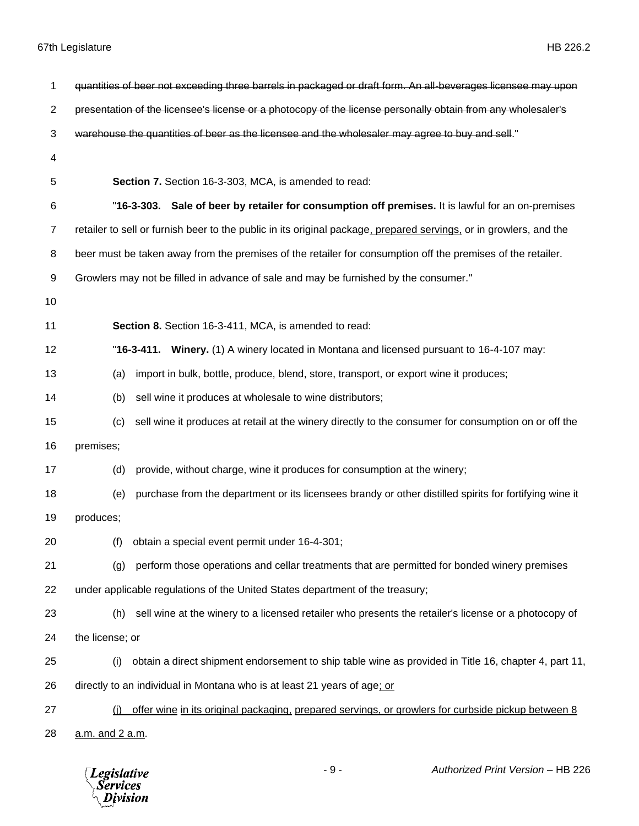| 1              | quantities of beer not exceeding three barrels in packaged or draft form. An all-beverages licensee may upon       |
|----------------|--------------------------------------------------------------------------------------------------------------------|
| $\overline{2}$ | presentation of the licensee's license or a photocopy of the license personally obtain from any wholesaler's       |
| 3              | warehouse the quantities of beer as the licensee and the wholesaler may agree to buy and sell."                    |
| 4              |                                                                                                                    |
| 5              | Section 7. Section 16-3-303, MCA, is amended to read:                                                              |
| 6              | "16-3-303. Sale of beer by retailer for consumption off premises. It is lawful for an on-premises                  |
| $\overline{7}$ | retailer to sell or furnish beer to the public in its original package, prepared servings, or in growlers, and the |
| 8              | beer must be taken away from the premises of the retailer for consumption off the premises of the retailer.        |
| 9              | Growlers may not be filled in advance of sale and may be furnished by the consumer."                               |
| 10             |                                                                                                                    |
| 11             | Section 8. Section 16-3-411, MCA, is amended to read:                                                              |
| 12             | "16-3-411. Winery. (1) A winery located in Montana and licensed pursuant to 16-4-107 may:                          |
| 13             | import in bulk, bottle, produce, blend, store, transport, or export wine it produces;<br>(a)                       |
| 14             | sell wine it produces at wholesale to wine distributors;<br>(b)                                                    |
| 15             | sell wine it produces at retail at the winery directly to the consumer for consumption on or off the<br>(c)        |
| 16             | premises;                                                                                                          |
| 17             | provide, without charge, wine it produces for consumption at the winery;<br>(d)                                    |
| 18             | purchase from the department or its licensees brandy or other distilled spirits for fortifying wine it<br>(e)      |
| 19             | produces;                                                                                                          |
| 20             | obtain a special event permit under 16-4-301;<br>(f)                                                               |
| 21             | perform those operations and cellar treatments that are permitted for bonded winery premises<br>(g)                |
| 22             | under applicable regulations of the United States department of the treasury;                                      |
| 23             | sell wine at the winery to a licensed retailer who presents the retailer's license or a photocopy of<br>(h)        |
| 24             | the license; or                                                                                                    |
| 25             | obtain a direct shipment endorsement to ship table wine as provided in Title 16, chapter 4, part 11,<br>(i)        |
| 26             | directly to an individual in Montana who is at least 21 years of age; or                                           |
| 27             | offer wine in its original packaging, prepared servings, or growlers for curbside pickup between 8<br>(i)          |
| 28             | a.m. and 2 a.m.                                                                                                    |

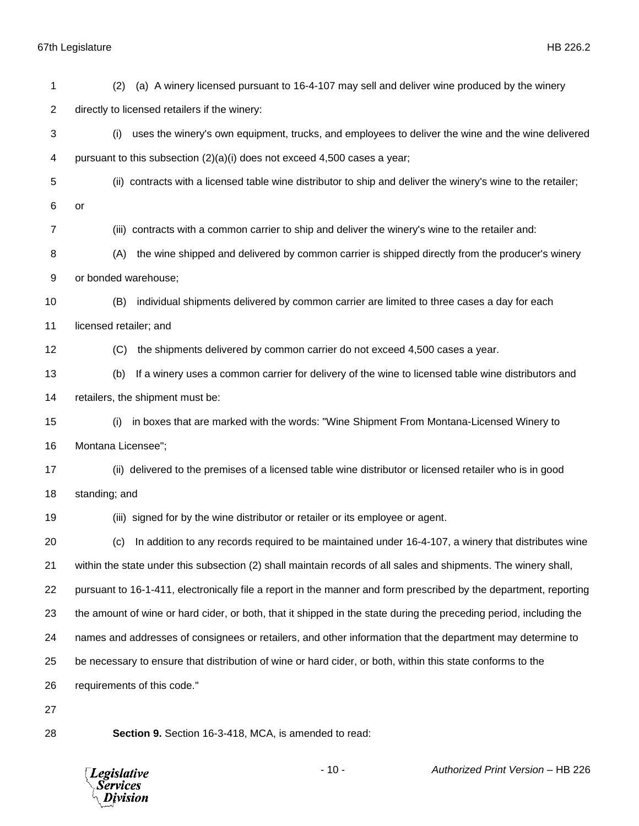| 1  | (a) A winery licensed pursuant to 16-4-107 may sell and deliver wine produced by the winery<br>(2)                 |
|----|--------------------------------------------------------------------------------------------------------------------|
| 2  | directly to licensed retailers if the winery:                                                                      |
| 3  | uses the winery's own equipment, trucks, and employees to deliver the wine and the wine delivered<br>(i)           |
| 4  | pursuant to this subsection $(2)(a)(i)$ does not exceed 4,500 cases a year;                                        |
| 5  | (ii) contracts with a licensed table wine distributor to ship and deliver the winery's wine to the retailer;       |
| 6  | or                                                                                                                 |
| 7  | (iii) contracts with a common carrier to ship and deliver the winery's wine to the retailer and:                   |
| 8  | the wine shipped and delivered by common carrier is shipped directly from the producer's winery<br>(A)             |
| 9  | or bonded warehouse;                                                                                               |
| 10 | individual shipments delivered by common carrier are limited to three cases a day for each<br>(B)                  |
| 11 | licensed retailer; and                                                                                             |
| 12 | the shipments delivered by common carrier do not exceed 4,500 cases a year.<br>(C)                                 |
| 13 | If a winery uses a common carrier for delivery of the wine to licensed table wine distributors and<br>(b)          |
| 14 | retailers, the shipment must be:                                                                                   |
| 15 | in boxes that are marked with the words: "Wine Shipment From Montana-Licensed Winery to<br>(i)                     |
| 16 | Montana Licensee";                                                                                                 |
| 17 | (ii) delivered to the premises of a licensed table wine distributor or licensed retailer who is in good            |
| 18 | standing; and                                                                                                      |
| 19 | (iii) signed for by the wine distributor or retailer or its employee or agent.                                     |
| 20 | (c) In addition to any records required to be maintained under 16-4-107, a winery that distributes wine            |
| 21 | within the state under this subsection (2) shall maintain records of all sales and shipments. The winery shall,    |
| 22 | pursuant to 16-1-411, electronically file a report in the manner and form prescribed by the department, reporting  |
| 23 | the amount of wine or hard cider, or both, that it shipped in the state during the preceding period, including the |
| 24 | names and addresses of consignees or retailers, and other information that the department may determine to         |
| 25 | be necessary to ensure that distribution of wine or hard cider, or both, within this state conforms to the         |
| 26 | requirements of this code."                                                                                        |
| 27 |                                                                                                                    |
| 28 | Section 9. Section 16-3-418, MCA, is amended to read:                                                              |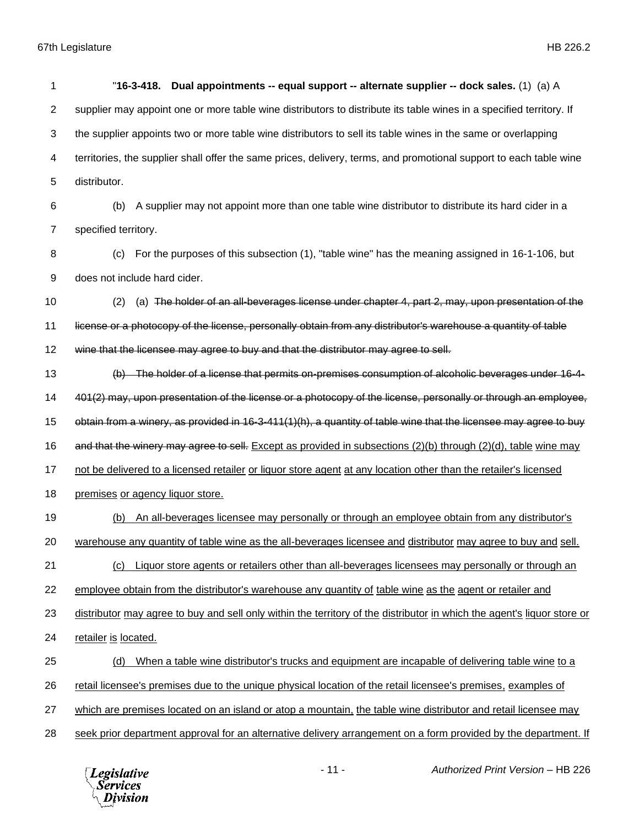| 1              | Dual appointments -- equal support -- alternate supplier -- dock sales. (1) (a) A<br>"16-3-418.                         |
|----------------|-------------------------------------------------------------------------------------------------------------------------|
| $\overline{2}$ | supplier may appoint one or more table wine distributors to distribute its table wines in a specified territory. If     |
| 3              | the supplier appoints two or more table wine distributors to sell its table wines in the same or overlapping            |
| 4              | territories, the supplier shall offer the same prices, delivery, terms, and promotional support to each table wine      |
| 5              | distributor.                                                                                                            |
| 6              | A supplier may not appoint more than one table wine distributor to distribute its hard cider in a<br>(b)                |
| 7              | specified territory.                                                                                                    |
| 8              | For the purposes of this subsection (1), "table wine" has the meaning assigned in 16-1-106, but<br>(c)                  |
| 9              | does not include hard cider.                                                                                            |
| 10             | (a) The holder of an all-beverages license under chapter 4, part 2, may, upon presentation of the<br>(2)                |
| 11             | license or a photocopy of the license, personally obtain from any distributor's warehouse a quantity of table           |
| 12             | wine that the licensee may agree to buy and that the distributor may agree to sell.                                     |
| 13             | (b) The holder of a license that permits on-premises consumption of alcoholic beverages under 16-4-                     |
| 14             | 401(2) may, upon presentation of the license or a photocopy of the license, personally or through an employee,          |
| 15             | obtain from a winery, as provided in 16-3-411(1)(h), a quantity of table wine that the licensee may agree to buy        |
| 16             | and that the winery may agree to sell. Except as provided in subsections (2)(b) through (2)(d), table wine may          |
| 17             | not be delivered to a licensed retailer or liquor store agent at any location other than the retailer's licensed        |
| 18             | premises or agency liquor store.                                                                                        |
| 19             | An all-beverages licensee may personally or through an employee obtain from any distributor's<br>(b)                    |
| 20             | warehouse any quantity of table wine as the all-beverages licensee and distributor may agree to buy and sell.           |
| 21             | Liquor store agents or retailers other than all-beverages licensees may personally or through an<br>(c)                 |
| 22             | employee obtain from the distributor's warehouse any quantity of table wine as the agent or retailer and                |
| 23             | distributor may agree to buy and sell only within the territory of the distributor in which the agent's liquor store or |
| 24             | retailer is located.                                                                                                    |
| 25             | When a table wine distributor's trucks and equipment are incapable of delivering table wine to a<br>(d)                 |
| 26             | retail licensee's premises due to the unique physical location of the retail licensee's premises, examples of           |
| 27             | which are premises located on an island or atop a mountain, the table wine distributor and retail licensee may          |
| 28             | seek prior department approval for an alternative delivery arrangement on a form provided by the department. If         |

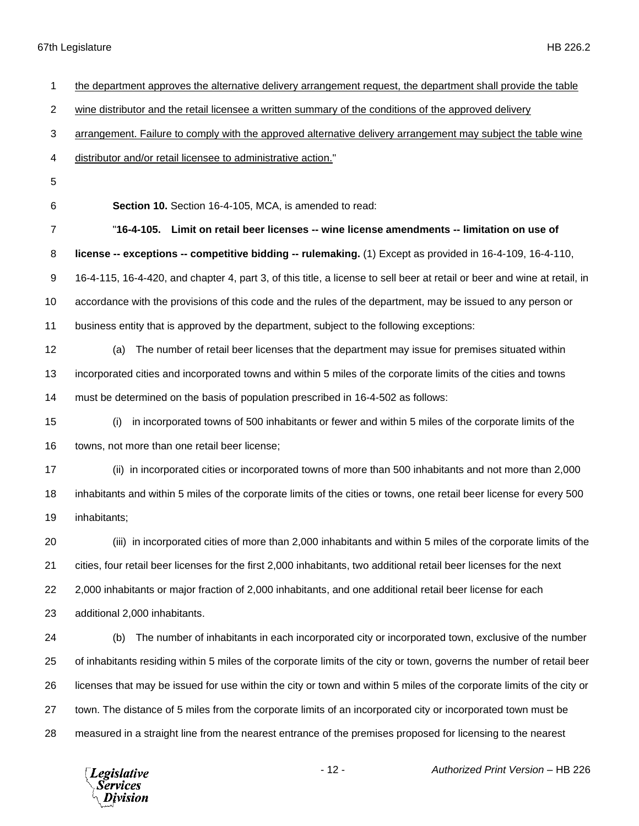| 1              | the department approves the alternative delivery arrangement request, the department shall provide the table              |
|----------------|---------------------------------------------------------------------------------------------------------------------------|
| $\overline{2}$ | wine distributor and the retail licensee a written summary of the conditions of the approved delivery                     |
| 3              | arrangement. Failure to comply with the approved alternative delivery arrangement may subject the table wine              |
| 4              | distributor and/or retail licensee to administrative action."                                                             |
| 5              |                                                                                                                           |
| 6              | Section 10. Section 16-4-105, MCA, is amended to read:                                                                    |
| $\overline{7}$ | "16-4-105. Limit on retail beer licenses -- wine license amendments -- limitation on use of                               |
| 8              | license -- exceptions -- competitive bidding -- rulemaking. (1) Except as provided in 16-4-109, 16-4-110,                 |
| 9              | 16-4-115, 16-4-420, and chapter 4, part 3, of this title, a license to sell beer at retail or beer and wine at retail, in |
| 10             | accordance with the provisions of this code and the rules of the department, may be issued to any person or               |
| 11             | business entity that is approved by the department, subject to the following exceptions:                                  |
| 12             | The number of retail beer licenses that the department may issue for premises situated within<br>(a)                      |
| 13             | incorporated cities and incorporated towns and within 5 miles of the corporate limits of the cities and towns             |
| 14             | must be determined on the basis of population prescribed in 16-4-502 as follows:                                          |
| 15             | in incorporated towns of 500 inhabitants or fewer and within 5 miles of the corporate limits of the<br>(i)                |
| 16             | towns, not more than one retail beer license;                                                                             |
| 17             | (ii) in incorporated cities or incorporated towns of more than 500 inhabitants and not more than 2,000                    |
| 18             | inhabitants and within 5 miles of the corporate limits of the cities or towns, one retail beer license for every 500      |
| 19             | inhabitants;                                                                                                              |
| 20             | (iii) in incorporated cities of more than 2,000 inhabitants and within 5 miles of the corporate limits of the             |
| 21             | cities, four retail beer licenses for the first 2,000 inhabitants, two additional retail beer licenses for the next       |
| 22             | 2,000 inhabitants or major fraction of 2,000 inhabitants, and one additional retail beer license for each                 |
| 23             | additional 2,000 inhabitants.                                                                                             |
| 24             | The number of inhabitants in each incorporated city or incorporated town, exclusive of the number<br>(b)                  |
| 25             | of inhabitants residing within 5 miles of the corporate limits of the city or town, governs the number of retail beer     |
| 26             | licenses that may be issued for use within the city or town and within 5 miles of the corporate limits of the city or     |
| 27             | town. The distance of 5 miles from the corporate limits of an incorporated city or incorporated town must be              |
| 28             | measured in a straight line from the nearest entrance of the premises proposed for licensing to the nearest               |
|                |                                                                                                                           |

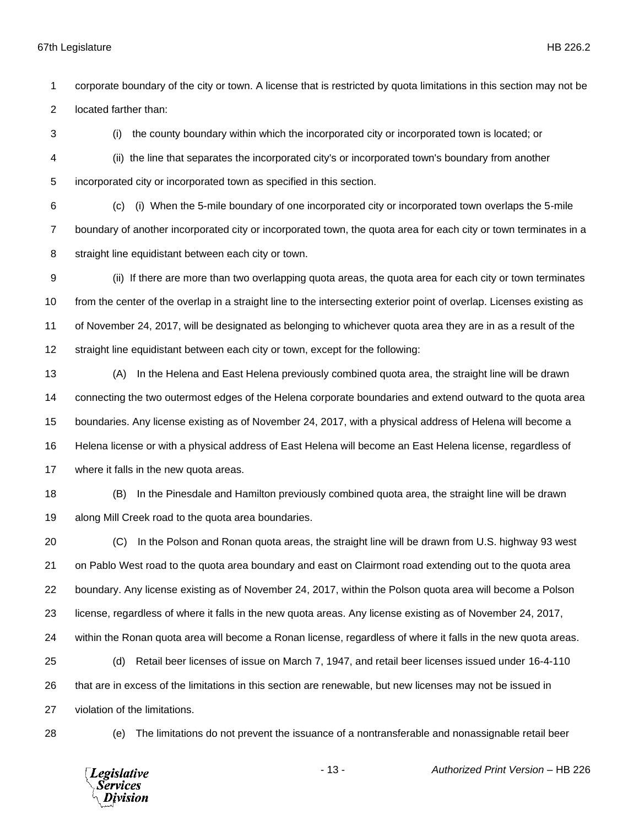corporate boundary of the city or town. A license that is restricted by quota limitations in this section may not be located farther than:

 (i) the county boundary within which the incorporated city or incorporated town is located; or (ii) the line that separates the incorporated city's or incorporated town's boundary from another incorporated city or incorporated town as specified in this section.

 (c) (i) When the 5-mile boundary of one incorporated city or incorporated town overlaps the 5-mile boundary of another incorporated city or incorporated town, the quota area for each city or town terminates in a straight line equidistant between each city or town.

 (ii) If there are more than two overlapping quota areas, the quota area for each city or town terminates from the center of the overlap in a straight line to the intersecting exterior point of overlap. Licenses existing as of November 24, 2017, will be designated as belonging to whichever quota area they are in as a result of the straight line equidistant between each city or town, except for the following:

 (A) In the Helena and East Helena previously combined quota area, the straight line will be drawn connecting the two outermost edges of the Helena corporate boundaries and extend outward to the quota area boundaries. Any license existing as of November 24, 2017, with a physical address of Helena will become a Helena license or with a physical address of East Helena will become an East Helena license, regardless of where it falls in the new quota areas.

 (B) In the Pinesdale and Hamilton previously combined quota area, the straight line will be drawn along Mill Creek road to the quota area boundaries.

 (C) In the Polson and Ronan quota areas, the straight line will be drawn from U.S. highway 93 west on Pablo West road to the quota area boundary and east on Clairmont road extending out to the quota area boundary. Any license existing as of November 24, 2017, within the Polson quota area will become a Polson license, regardless of where it falls in the new quota areas. Any license existing as of November 24, 2017, within the Ronan quota area will become a Ronan license, regardless of where it falls in the new quota areas. (d) Retail beer licenses of issue on March 7, 1947, and retail beer licenses issued under 16-4-110

 that are in excess of the limitations in this section are renewable, but new licenses may not be issued in violation of the limitations.

(e) The limitations do not prevent the issuance of a nontransferable and nonassignable retail beer

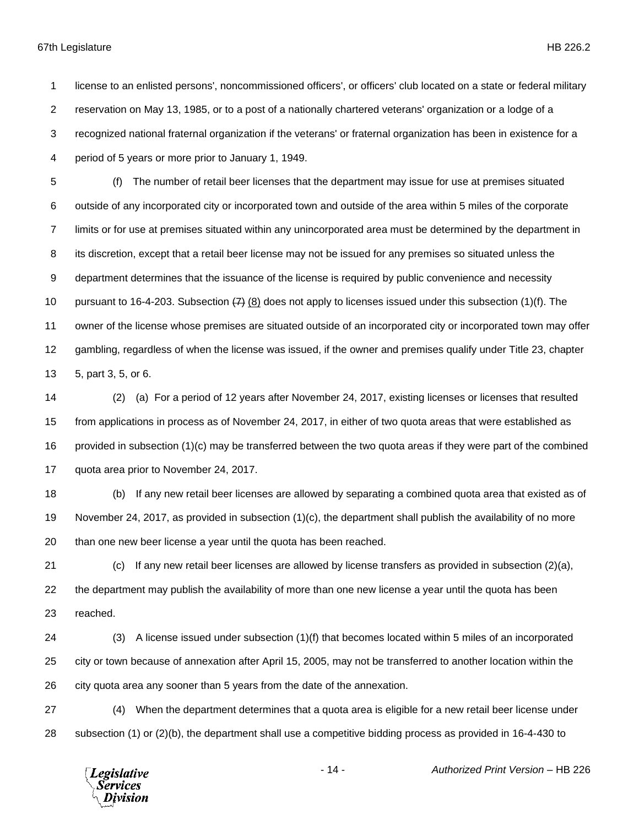license to an enlisted persons', noncommissioned officers', or officers' club located on a state or federal military reservation on May 13, 1985, or to a post of a nationally chartered veterans' organization or a lodge of a recognized national fraternal organization if the veterans' or fraternal organization has been in existence for a period of 5 years or more prior to January 1, 1949.

 (f) The number of retail beer licenses that the department may issue for use at premises situated outside of any incorporated city or incorporated town and outside of the area within 5 miles of the corporate limits or for use at premises situated within any unincorporated area must be determined by the department in its discretion, except that a retail beer license may not be issued for any premises so situated unless the department determines that the issuance of the license is required by public convenience and necessity 10 pursuant to 16-4-203. Subsection  $(7)$  (8) does not apply to licenses issued under this subsection (1)(f). The owner of the license whose premises are situated outside of an incorporated city or incorporated town may offer gambling, regardless of when the license was issued, if the owner and premises qualify under Title 23, chapter 5, part 3, 5, or 6.

 (2) (a) For a period of 12 years after November 24, 2017, existing licenses or licenses that resulted from applications in process as of November 24, 2017, in either of two quota areas that were established as provided in subsection (1)(c) may be transferred between the two quota areas if they were part of the combined quota area prior to November 24, 2017.

 (b) If any new retail beer licenses are allowed by separating a combined quota area that existed as of November 24, 2017, as provided in subsection (1)(c), the department shall publish the availability of no more than one new beer license a year until the quota has been reached.

 (c) If any new retail beer licenses are allowed by license transfers as provided in subsection (2)(a), the department may publish the availability of more than one new license a year until the quota has been reached.

 (3) A license issued under subsection (1)(f) that becomes located within 5 miles of an incorporated city or town because of annexation after April 15, 2005, may not be transferred to another location within the city quota area any sooner than 5 years from the date of the annexation.

 (4) When the department determines that a quota area is eligible for a new retail beer license under subsection (1) or (2)(b), the department shall use a competitive bidding process as provided in 16-4-430 to

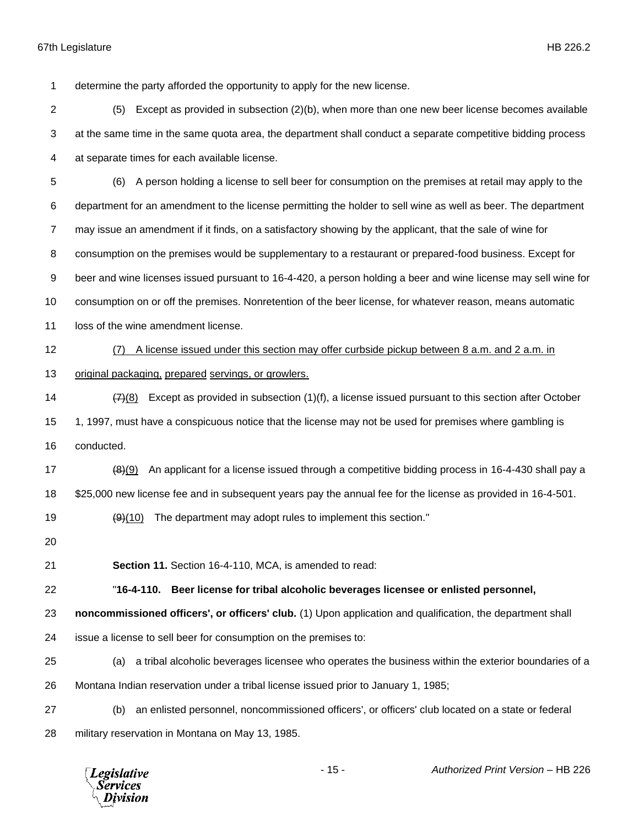determine the party afforded the opportunity to apply for the new license.

 (5) Except as provided in subsection (2)(b), when more than one new beer license becomes available at the same time in the same quota area, the department shall conduct a separate competitive bidding process at separate times for each available license.

 (6) A person holding a license to sell beer for consumption on the premises at retail may apply to the department for an amendment to the license permitting the holder to sell wine as well as beer. The department may issue an amendment if it finds, on a satisfactory showing by the applicant, that the sale of wine for consumption on the premises would be supplementary to a restaurant or prepared-food business. Except for beer and wine licenses issued pursuant to 16-4-420, a person holding a beer and wine license may sell wine for

consumption on or off the premises. Nonretention of the beer license, for whatever reason, means automatic

loss of the wine amendment license.

(7) A license issued under this section may offer curbside pickup between 8 a.m. and 2 a.m. in

original packaging, prepared servings, or growlers.

14  $\left(7\right)(8)$  Except as provided in subsection (1)(f), a license issued pursuant to this section after October 15 1, 1997, must have a conspicuous notice that the license may not be used for premises where gambling is conducted.

17  $\left(8\right)\left(9\right)$  An applicant for a license issued through a competitive bidding process in 16-4-430 shall pay a \$25,000 new license fee and in subsequent years pay the annual fee for the license as provided in 16-4-501.

- 19  $(9)(10)$  The department may adopt rules to implement this section."
- 

**Section 11.** Section 16-4-110, MCA, is amended to read:

"**16-4-110. Beer license for tribal alcoholic beverages licensee or enlisted personnel,** 

**noncommissioned officers', or officers' club.** (1) Upon application and qualification, the department shall

issue a license to sell beer for consumption on the premises to:

 (a) a tribal alcoholic beverages licensee who operates the business within the exterior boundaries of a Montana Indian reservation under a tribal license issued prior to January 1, 1985;

 (b) an enlisted personnel, noncommissioned officers', or officers' club located on a state or federal military reservation in Montana on May 13, 1985.

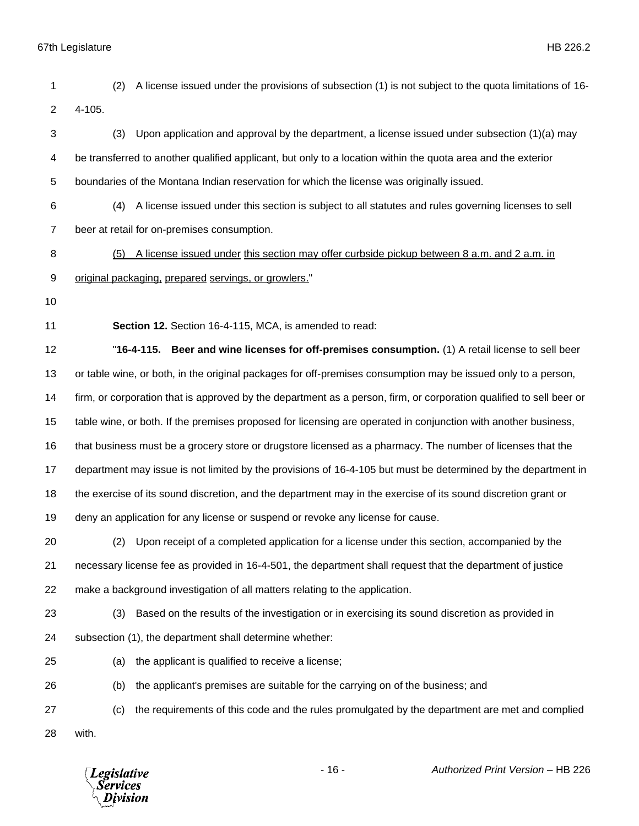| 1              | A license issued under the provisions of subsection (1) is not subject to the quota limitations of 16-<br>(2)       |
|----------------|---------------------------------------------------------------------------------------------------------------------|
| $\overline{2}$ | 4-105.                                                                                                              |
| 3              | Upon application and approval by the department, a license issued under subsection $(1)(a)$ may<br>(3)              |
| 4              | be transferred to another qualified applicant, but only to a location within the quota area and the exterior        |
| 5              | boundaries of the Montana Indian reservation for which the license was originally issued.                           |
| 6              | A license issued under this section is subject to all statutes and rules governing licenses to sell<br>(4)          |
| $\overline{7}$ | beer at retail for on-premises consumption.                                                                         |
| 8              | A license issued under this section may offer curbside pickup between 8 a.m. and 2 a.m. in<br>(5)                   |
| 9              | original packaging, prepared servings, or growlers."                                                                |
| 10             |                                                                                                                     |
| 11             | Section 12. Section 16-4-115, MCA, is amended to read:                                                              |
| 12             | "16-4-115. Beer and wine licenses for off-premises consumption. (1) A retail license to sell beer                   |
| 13             | or table wine, or both, in the original packages for off-premises consumption may be issued only to a person,       |
| 14             | firm, or corporation that is approved by the department as a person, firm, or corporation qualified to sell beer or |
| 15             | table wine, or both. If the premises proposed for licensing are operated in conjunction with another business,      |
| 16             | that business must be a grocery store or drugstore licensed as a pharmacy. The number of licenses that the          |
| 17             | department may issue is not limited by the provisions of 16-4-105 but must be determined by the department in       |
| 18             | the exercise of its sound discretion, and the department may in the exercise of its sound discretion grant or       |
| 19             | deny an application for any license or suspend or revoke any license for cause.                                     |
| 20             | (2) Upon receipt of a completed application for a license under this section, accompanied by the                    |
| 21             | necessary license fee as provided in 16-4-501, the department shall request that the department of justice          |
| 22             | make a background investigation of all matters relating to the application.                                         |
| 23             | Based on the results of the investigation or in exercising its sound discretion as provided in<br>(3)               |
| 24             | subsection (1), the department shall determine whether:                                                             |
| 25             | the applicant is qualified to receive a license;<br>(a)                                                             |
| 26             | the applicant's premises are suitable for the carrying on of the business; and<br>(b)                               |
| 27             | the requirements of this code and the rules promulgated by the department are met and complied<br>(c)               |
| 28             | with.                                                                                                               |
|                |                                                                                                                     |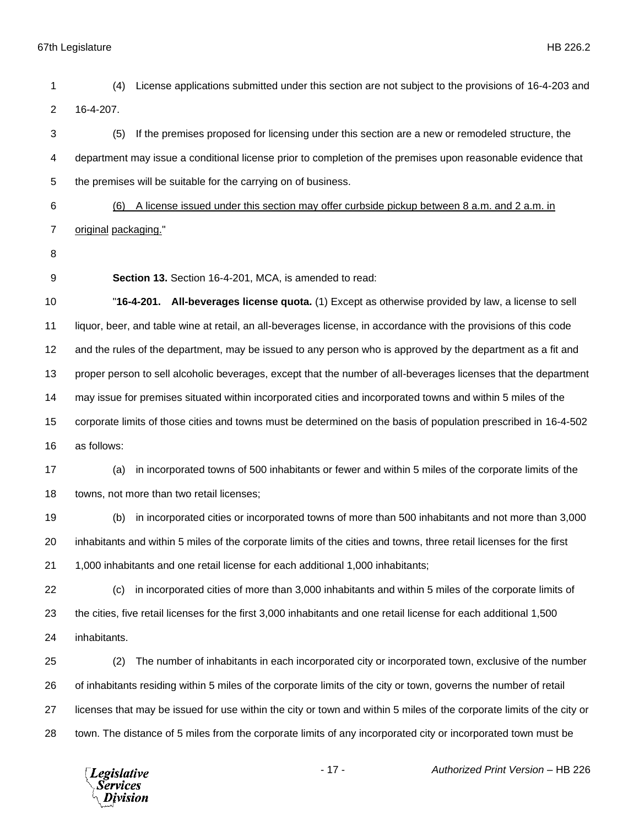(4) License applications submitted under this section are not subject to the provisions of 16-4-203 and 16-4-207. (5) If the premises proposed for licensing under this section are a new or remodeled structure, the department may issue a conditional license prior to completion of the premises upon reasonable evidence that the premises will be suitable for the carrying on of business. (6) A license issued under this section may offer curbside pickup between 8 a.m. and 2 a.m. in original packaging." **Section 13.** Section 16-4-201, MCA, is amended to read: "**16-4-201. All-beverages license quota.** (1) Except as otherwise provided by law, a license to sell liquor, beer, and table wine at retail, an all-beverages license, in accordance with the provisions of this code and the rules of the department, may be issued to any person who is approved by the department as a fit and proper person to sell alcoholic beverages, except that the number of all-beverages licenses that the department may issue for premises situated within incorporated cities and incorporated towns and within 5 miles of the corporate limits of those cities and towns must be determined on the basis of population prescribed in 16-4-502 as follows: (a) in incorporated towns of 500 inhabitants or fewer and within 5 miles of the corporate limits of the towns, not more than two retail licenses; (b) in incorporated cities or incorporated towns of more than 500 inhabitants and not more than 3,000 inhabitants and within 5 miles of the corporate limits of the cities and towns, three retail licenses for the first 1,000 inhabitants and one retail license for each additional 1,000 inhabitants; (c) in incorporated cities of more than 3,000 inhabitants and within 5 miles of the corporate limits of the cities, five retail licenses for the first 3,000 inhabitants and one retail license for each additional 1,500 inhabitants. (2) The number of inhabitants in each incorporated city or incorporated town, exclusive of the number of inhabitants residing within 5 miles of the corporate limits of the city or town, governs the number of retail licenses that may be issued for use within the city or town and within 5 miles of the corporate limits of the city or town. The distance of 5 miles from the corporate limits of any incorporated city or incorporated town must be

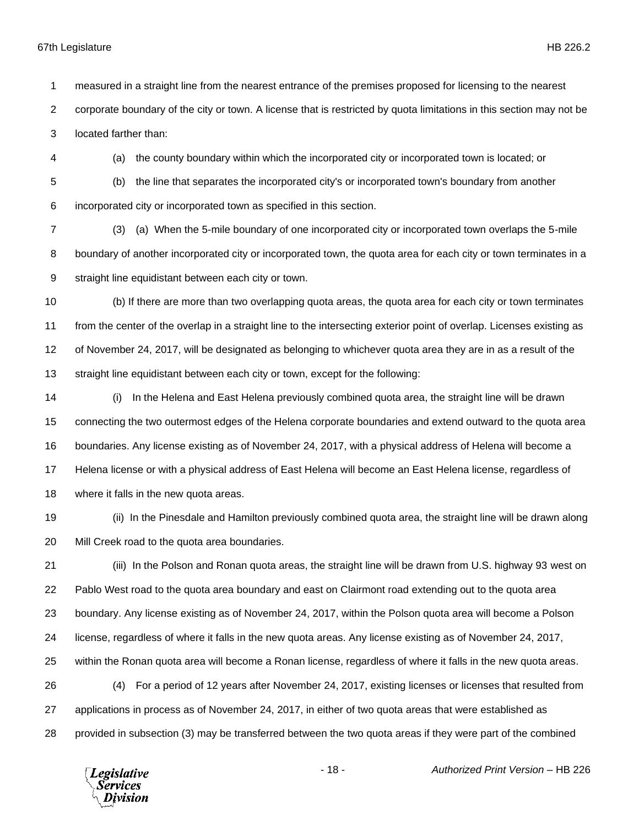measured in a straight line from the nearest entrance of the premises proposed for licensing to the nearest

corporate boundary of the city or town. A license that is restricted by quota limitations in this section may not be

located farther than:

(a) the county boundary within which the incorporated city or incorporated town is located; or

 (b) the line that separates the incorporated city's or incorporated town's boundary from another incorporated city or incorporated town as specified in this section.

 (3) (a) When the 5-mile boundary of one incorporated city or incorporated town overlaps the 5-mile 8 boundary of another incorporated city or incorporated town, the quota area for each city or town terminates in a straight line equidistant between each city or town.

 (b) If there are more than two overlapping quota areas, the quota area for each city or town terminates from the center of the overlap in a straight line to the intersecting exterior point of overlap. Licenses existing as of November 24, 2017, will be designated as belonging to whichever quota area they are in as a result of the straight line equidistant between each city or town, except for the following:

 (i) In the Helena and East Helena previously combined quota area, the straight line will be drawn connecting the two outermost edges of the Helena corporate boundaries and extend outward to the quota area boundaries. Any license existing as of November 24, 2017, with a physical address of Helena will become a Helena license or with a physical address of East Helena will become an East Helena license, regardless of where it falls in the new quota areas.

 (ii) In the Pinesdale and Hamilton previously combined quota area, the straight line will be drawn along Mill Creek road to the quota area boundaries.

 (iii) In the Polson and Ronan quota areas, the straight line will be drawn from U.S. highway 93 west on Pablo West road to the quota area boundary and east on Clairmont road extending out to the quota area boundary. Any license existing as of November 24, 2017, within the Polson quota area will become a Polson license, regardless of where it falls in the new quota areas. Any license existing as of November 24, 2017, within the Ronan quota area will become a Ronan license, regardless of where it falls in the new quota areas. (4) For a period of 12 years after November 24, 2017, existing licenses or licenses that resulted from applications in process as of November 24, 2017, in either of two quota areas that were established as provided in subsection (3) may be transferred between the two quota areas if they were part of the combined

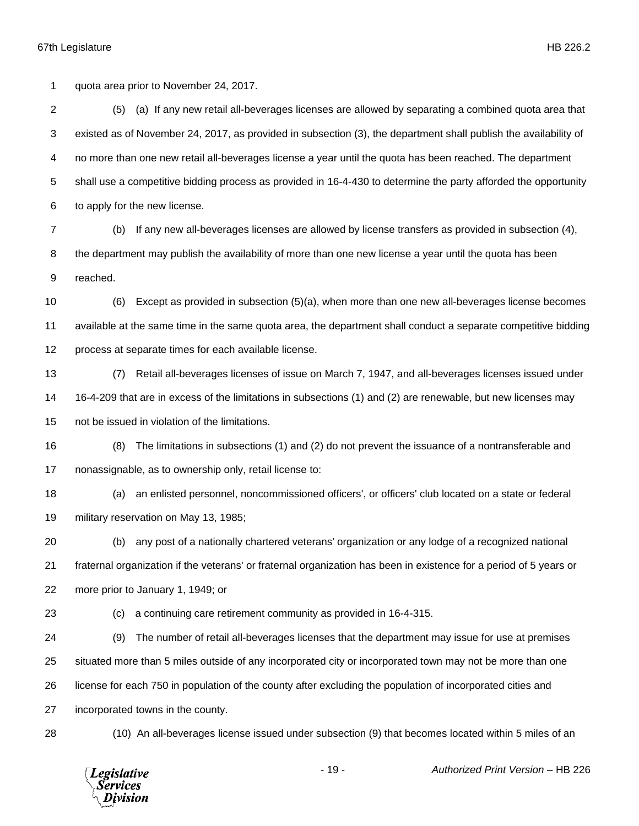quota area prior to November 24, 2017.

 (5) (a) If any new retail all-beverages licenses are allowed by separating a combined quota area that existed as of November 24, 2017, as provided in subsection (3), the department shall publish the availability of no more than one new retail all-beverages license a year until the quota has been reached. The department shall use a competitive bidding process as provided in 16-4-430 to determine the party afforded the opportunity to apply for the new license.

 (b) If any new all-beverages licenses are allowed by license transfers as provided in subsection (4), the department may publish the availability of more than one new license a year until the quota has been

reached.

 (6) Except as provided in subsection (5)(a), when more than one new all-beverages license becomes available at the same time in the same quota area, the department shall conduct a separate competitive bidding process at separate times for each available license.

 (7) Retail all-beverages licenses of issue on March 7, 1947, and all-beverages licenses issued under 16-4-209 that are in excess of the limitations in subsections (1) and (2) are renewable, but new licenses may not be issued in violation of the limitations.

- (8) The limitations in subsections (1) and (2) do not prevent the issuance of a nontransferable and nonassignable, as to ownership only, retail license to:
- (a) an enlisted personnel, noncommissioned officers', or officers' club located on a state or federal military reservation on May 13, 1985;

 (b) any post of a nationally chartered veterans' organization or any lodge of a recognized national fraternal organization if the veterans' or fraternal organization has been in existence for a period of 5 years or more prior to January 1, 1949; or

(c) a continuing care retirement community as provided in 16-4-315.

 (9) The number of retail all-beverages licenses that the department may issue for use at premises situated more than 5 miles outside of any incorporated city or incorporated town may not be more than one

license for each 750 in population of the county after excluding the population of incorporated cities and

incorporated towns in the county.

(10) An all-beverages license issued under subsection (9) that becomes located within 5 miles of an

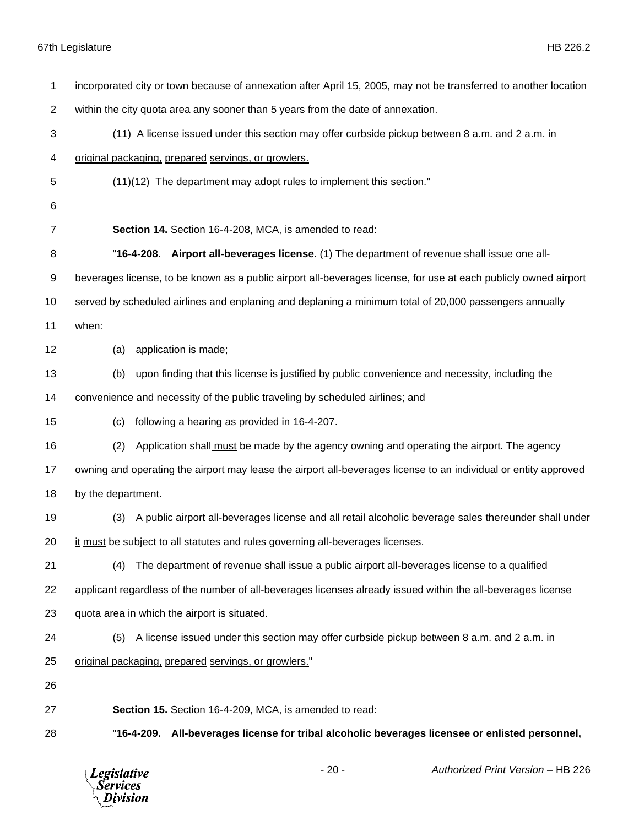| 1  | incorporated city or town because of annexation after April 15, 2005, may not be transferred to another location |
|----|------------------------------------------------------------------------------------------------------------------|
| 2  | within the city quota area any sooner than 5 years from the date of annexation.                                  |
| 3  | (11) A license issued under this section may offer curbside pickup between 8 a.m. and 2 a.m. in                  |
| 4  | original packaging, prepared servings, or growlers.                                                              |
| 5  | $(11)(12)$ The department may adopt rules to implement this section."                                            |
| 6  |                                                                                                                  |
| 7  | Section 14. Section 16-4-208, MCA, is amended to read:                                                           |
| 8  | "16-4-208. Airport all-beverages license. (1) The department of revenue shall issue one all-                     |
| 9  | beverages license, to be known as a public airport all-beverages license, for use at each publicly owned airport |
| 10 | served by scheduled airlines and enplaning and deplaning a minimum total of 20,000 passengers annually           |
| 11 | when:                                                                                                            |
| 12 | application is made;<br>(a)                                                                                      |
| 13 | upon finding that this license is justified by public convenience and necessity, including the<br>(b)            |
| 14 | convenience and necessity of the public traveling by scheduled airlines; and                                     |
| 15 | following a hearing as provided in 16-4-207.<br>(c)                                                              |
| 16 | Application shall must be made by the agency owning and operating the airport. The agency<br>(2)                 |
| 17 | owning and operating the airport may lease the airport all-beverages license to an individual or entity approved |
| 18 | by the department.                                                                                               |
| 19 | A public airport all-beverages license and all retail alcoholic beverage sales thereunder shall under<br>(3)     |
| 20 | it must be subject to all statutes and rules governing all-beverages licenses.                                   |
| 21 | The department of revenue shall issue a public airport all-beverages license to a qualified<br>(4)               |
| 22 | applicant regardless of the number of all-beverages licenses already issued within the all-beverages license     |
| 23 | quota area in which the airport is situated.                                                                     |
| 24 | A license issued under this section may offer curbside pickup between 8 a.m. and 2 a.m. in<br>(5)                |
| 25 | original packaging, prepared servings, or growlers."                                                             |
| 26 |                                                                                                                  |
| 27 | Section 15. Section 16-4-209, MCA, is amended to read:                                                           |
| 28 | "16-4-209. All-beverages license for tribal alcoholic beverages licensee or enlisted personnel,                  |
|    |                                                                                                                  |

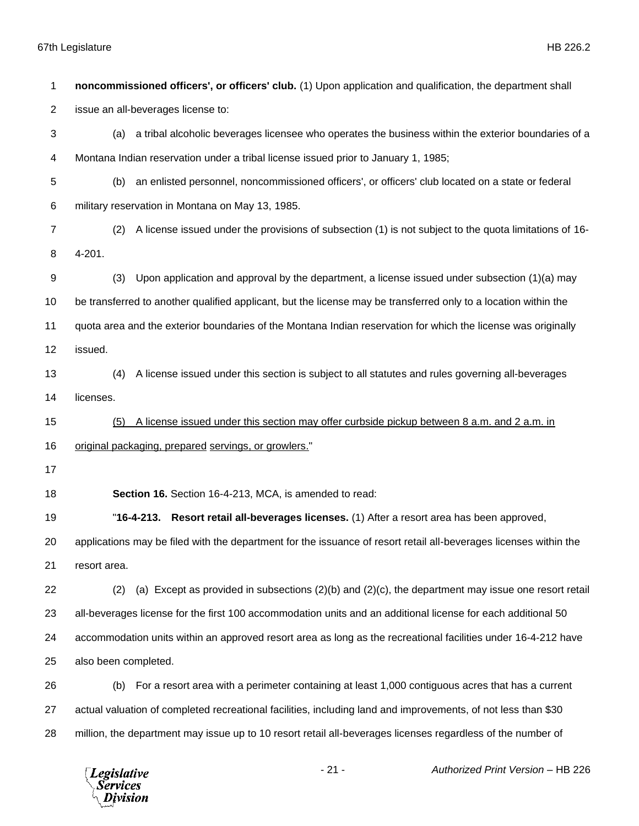**noncommissioned officers', or officers' club.** (1) Upon application and qualification, the department shall issue an all-beverages license to: (a) a tribal alcoholic beverages licensee who operates the business within the exterior boundaries of a Montana Indian reservation under a tribal license issued prior to January 1, 1985; (b) an enlisted personnel, noncommissioned officers', or officers' club located on a state or federal military reservation in Montana on May 13, 1985. (2) A license issued under the provisions of subsection (1) is not subject to the quota limitations of 16- 4-201. (3) Upon application and approval by the department, a license issued under subsection (1)(a) may be transferred to another qualified applicant, but the license may be transferred only to a location within the quota area and the exterior boundaries of the Montana Indian reservation for which the license was originally issued. (4) A license issued under this section is subject to all statutes and rules governing all-beverages licenses. (5) A license issued under this section may offer curbside pickup between 8 a.m. and 2 a.m. in original packaging, prepared servings, or growlers." **Section 16.** Section 16-4-213, MCA, is amended to read: "**16-4-213. Resort retail all-beverages licenses.** (1) After a resort area has been approved, applications may be filed with the department for the issuance of resort retail all-beverages licenses within the resort area. (2) (a) Except as provided in subsections (2)(b) and (2)(c), the department may issue one resort retail all-beverages license for the first 100 accommodation units and an additional license for each additional 50 accommodation units within an approved resort area as long as the recreational facilities under 16-4-212 have also been completed. (b) For a resort area with a perimeter containing at least 1,000 contiguous acres that has a current actual valuation of completed recreational facilities, including land and improvements, of not less than \$30 million, the department may issue up to 10 resort retail all-beverages licenses regardless of the number of

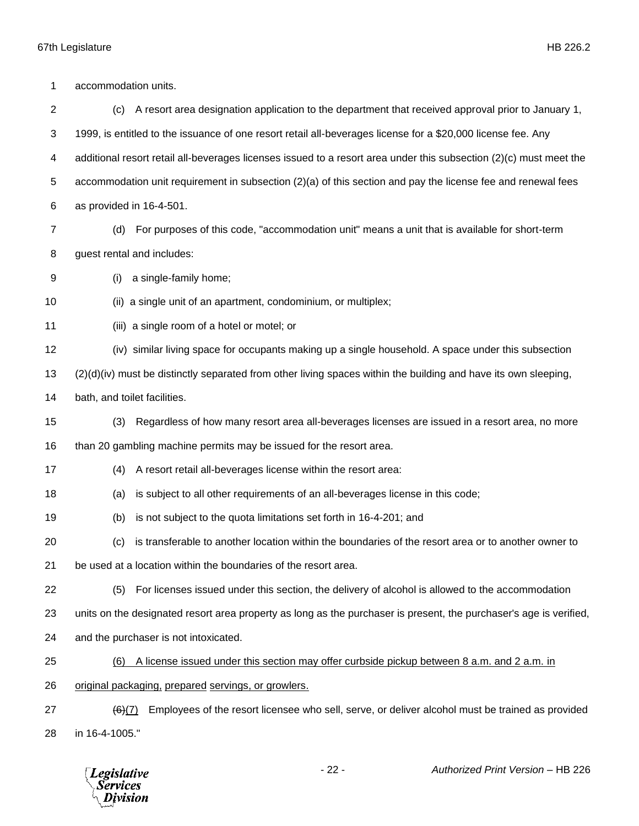| 1              | accommodation units.                                                                                                   |
|----------------|------------------------------------------------------------------------------------------------------------------------|
| $\overline{c}$ | A resort area designation application to the department that received approval prior to January 1,<br>(c)              |
| 3              | 1999, is entitled to the issuance of one resort retail all-beverages license for a \$20,000 license fee. Any           |
| 4              | additional resort retail all-beverages licenses issued to a resort area under this subsection (2)(c) must meet the     |
| 5              | accommodation unit requirement in subsection $(2)(a)$ of this section and pay the license fee and renewal fees         |
| 6              | as provided in 16-4-501.                                                                                               |
| 7              | For purposes of this code, "accommodation unit" means a unit that is available for short-term<br>(d)                   |
| 8              | guest rental and includes:                                                                                             |
| 9              | a single-family home;<br>(i)                                                                                           |
| 10             | (ii) a single unit of an apartment, condominium, or multiplex;                                                         |
| 11             | (iii) a single room of a hotel or motel; or                                                                            |
| 12             | (iv) similar living space for occupants making up a single household. A space under this subsection                    |
| 13             | $(2)(d)(iv)$ must be distinctly separated from other living spaces within the building and have its own sleeping,      |
| 14             | bath, and toilet facilities.                                                                                           |
| 15             | Regardless of how many resort area all-beverages licenses are issued in a resort area, no more<br>(3)                  |
| 16             | than 20 gambling machine permits may be issued for the resort area.                                                    |
| 17             | A resort retail all-beverages license within the resort area:<br>(4)                                                   |
| 18             | is subject to all other requirements of an all-beverages license in this code;<br>(a)                                  |
| 19             | is not subject to the quota limitations set forth in 16-4-201; and<br>(b)                                              |
| 20             | is transferable to another location within the boundaries of the resort area or to another owner to<br>(c)             |
| 21             | be used at a location within the boundaries of the resort area.                                                        |
| 22             | For licenses issued under this section, the delivery of alcohol is allowed to the accommodation<br>(5)                 |
| 23             | units on the designated resort area property as long as the purchaser is present, the purchaser's age is verified,     |
| 24             | and the purchaser is not intoxicated.                                                                                  |
| 25             | A license issued under this section may offer curbside pickup between 8 a.m. and 2 a.m. in<br>(6)                      |
| 26             | original packaging, prepared servings, or growlers.                                                                    |
| 27             | Employees of the resort licensee who sell, serve, or deliver alcohol must be trained as provided<br>$\frac{(6)(7)}{6}$ |
| 28             | in 16-4-1005."                                                                                                         |
|                |                                                                                                                        |

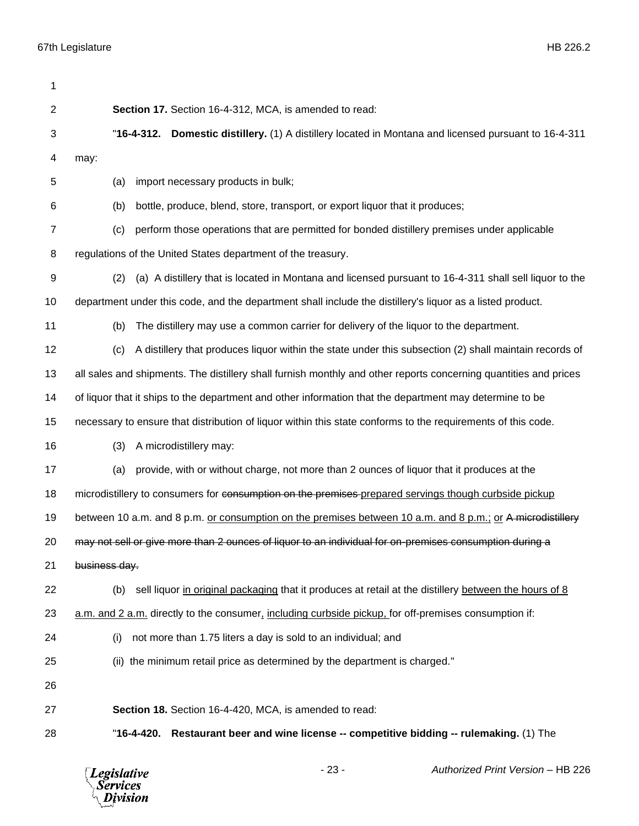| 1              |                                                                                                                  |
|----------------|------------------------------------------------------------------------------------------------------------------|
| $\overline{2}$ | Section 17. Section 16-4-312, MCA, is amended to read:                                                           |
| 3              | "16-4-312. Domestic distillery. (1) A distillery located in Montana and licensed pursuant to 16-4-311            |
| 4              | may:                                                                                                             |
| 5              | import necessary products in bulk;<br>(a)                                                                        |
| 6              | bottle, produce, blend, store, transport, or export liquor that it produces;<br>(b)                              |
| 7              | perform those operations that are permitted for bonded distillery premises under applicable<br>(c)               |
| 8              | regulations of the United States department of the treasury.                                                     |
| 9              | (a) A distillery that is located in Montana and licensed pursuant to 16-4-311 shall sell liquor to the<br>(2)    |
| 10             | department under this code, and the department shall include the distillery's liquor as a listed product.        |
| 11             | The distillery may use a common carrier for delivery of the liquor to the department.<br>(b)                     |
| 12             | A distillery that produces liquor within the state under this subsection (2) shall maintain records of<br>(c)    |
| 13             | all sales and shipments. The distillery shall furnish monthly and other reports concerning quantities and prices |
| 14             | of liquor that it ships to the department and other information that the department may determine to be          |
| 15             | necessary to ensure that distribution of liquor within this state conforms to the requirements of this code.     |
| 16             | A microdistillery may:<br>(3)                                                                                    |
| 17             | provide, with or without charge, not more than 2 ounces of liquor that it produces at the<br>(a)                 |
| 18             | microdistillery to consumers for consumption on the premises-prepared servings though curbside pickup            |
| 19             | between 10 a.m. and 8 p.m. or consumption on the premises between 10 a.m. and 8 p.m.; or A microdistillery       |
| 20             | may not sell or give more than 2 ounces of liquor to an individual for on-premises consumption during a          |
| 21             | business day.                                                                                                    |
| 22             | sell liquor in original packaging that it produces at retail at the distillery between the hours of 8<br>(b)     |
| 23             | a.m. and 2 a.m. directly to the consumer, including curbside pickup, for off-premises consumption if:            |
| 24             | not more than 1.75 liters a day is sold to an individual; and<br>(i)                                             |
| 25             | (ii) the minimum retail price as determined by the department is charged."                                       |
| 26             |                                                                                                                  |
| 27             | Section 18. Section 16-4-420, MCA, is amended to read:                                                           |
| 28             | Restaurant beer and wine license -- competitive bidding -- rulemaking. (1) The<br>"16-4-420.                     |
|                |                                                                                                                  |

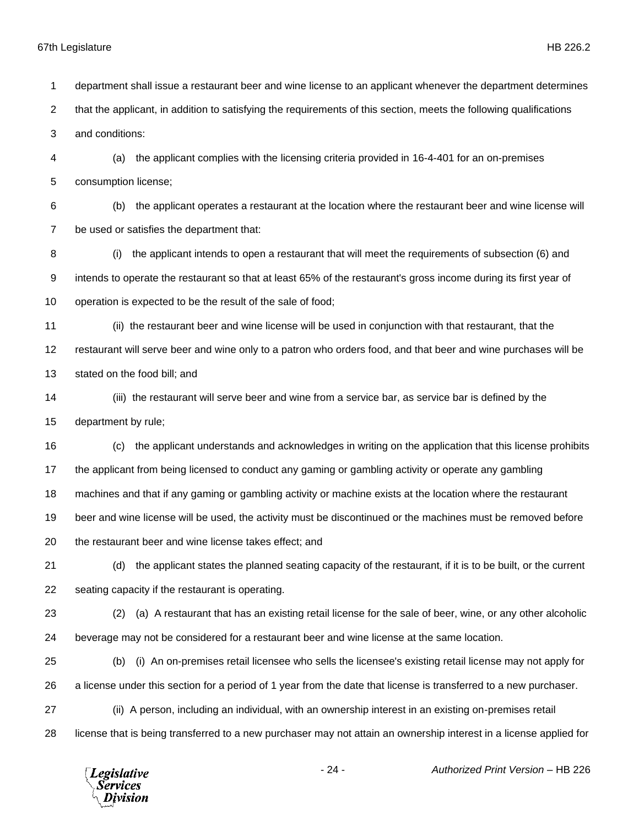that the applicant, in addition to satisfying the requirements of this section, meets the following qualifications and conditions: (a) the applicant complies with the licensing criteria provided in 16-4-401 for an on-premises consumption license; (b) the applicant operates a restaurant at the location where the restaurant beer and wine license will be used or satisfies the department that: (i) the applicant intends to open a restaurant that will meet the requirements of subsection (6) and intends to operate the restaurant so that at least 65% of the restaurant's gross income during its first year of operation is expected to be the result of the sale of food; (ii) the restaurant beer and wine license will be used in conjunction with that restaurant, that the restaurant will serve beer and wine only to a patron who orders food, and that beer and wine purchases will be stated on the food bill; and (iii) the restaurant will serve beer and wine from a service bar, as service bar is defined by the department by rule; (c) the applicant understands and acknowledges in writing on the application that this license prohibits the applicant from being licensed to conduct any gaming or gambling activity or operate any gambling machines and that if any gaming or gambling activity or machine exists at the location where the restaurant beer and wine license will be used, the activity must be discontinued or the machines must be removed before the restaurant beer and wine license takes effect; and (d) the applicant states the planned seating capacity of the restaurant, if it is to be built, or the current seating capacity if the restaurant is operating. (2) (a) A restaurant that has an existing retail license for the sale of beer, wine, or any other alcoholic beverage may not be considered for a restaurant beer and wine license at the same location. (b) (i) An on-premises retail licensee who sells the licensee's existing retail license may not apply for a license under this section for a period of 1 year from the date that license is transferred to a new purchaser. (ii) A person, including an individual, with an ownership interest in an existing on-premises retail

department shall issue a restaurant beer and wine license to an applicant whenever the department determines

license that is being transferred to a new purchaser may not attain an ownership interest in a license applied for

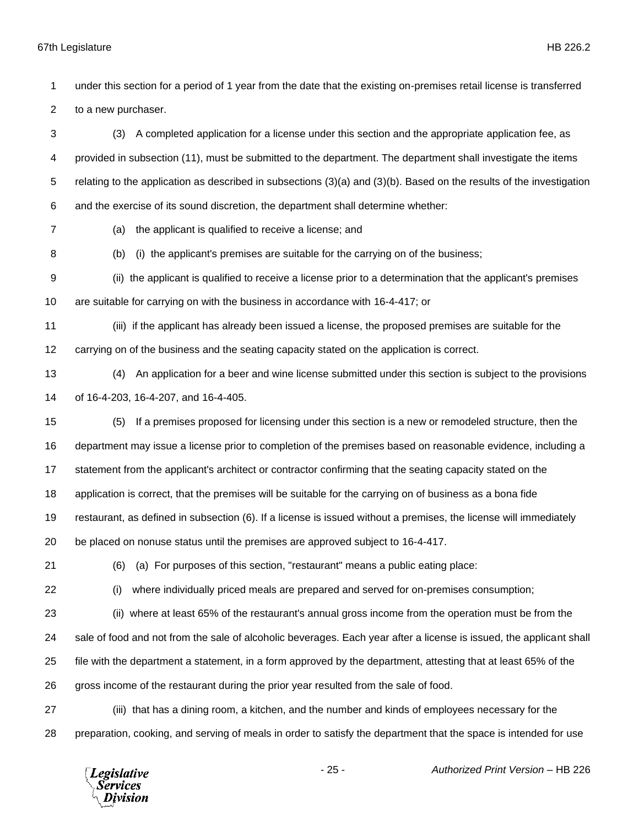to a new purchaser. (3) A completed application for a license under this section and the appropriate application fee, as provided in subsection (11), must be submitted to the department. The department shall investigate the items relating to the application as described in subsections (3)(a) and (3)(b). Based on the results of the investigation and the exercise of its sound discretion, the department shall determine whether: (a) the applicant is qualified to receive a license; and (b) (i) the applicant's premises are suitable for the carrying on of the business; (ii) the applicant is qualified to receive a license prior to a determination that the applicant's premises are suitable for carrying on with the business in accordance with 16-4-417; or (iii) if the applicant has already been issued a license, the proposed premises are suitable for the carrying on of the business and the seating capacity stated on the application is correct. (4) An application for a beer and wine license submitted under this section is subject to the provisions of 16-4-203, 16-4-207, and 16-4-405. (5) If a premises proposed for licensing under this section is a new or remodeled structure, then the department may issue a license prior to completion of the premises based on reasonable evidence, including a statement from the applicant's architect or contractor confirming that the seating capacity stated on the application is correct, that the premises will be suitable for the carrying on of business as a bona fide restaurant, as defined in subsection (6). If a license is issued without a premises, the license will immediately be placed on nonuse status until the premises are approved subject to 16-4-417. (6) (a) For purposes of this section, "restaurant" means a public eating place: (i) where individually priced meals are prepared and served for on-premises consumption; (ii) where at least 65% of the restaurant's annual gross income from the operation must be from the sale of food and not from the sale of alcoholic beverages. Each year after a license is issued, the applicant shall file with the department a statement, in a form approved by the department, attesting that at least 65% of the gross income of the restaurant during the prior year resulted from the sale of food. (iii) that has a dining room, a kitchen, and the number and kinds of employees necessary for the preparation, cooking, and serving of meals in order to satisfy the department that the space is intended for use - 25 - *Authorized Print Version* – HB 226 **Legislative** Services

under this section for a period of 1 year from the date that the existing on-premises retail license is transferred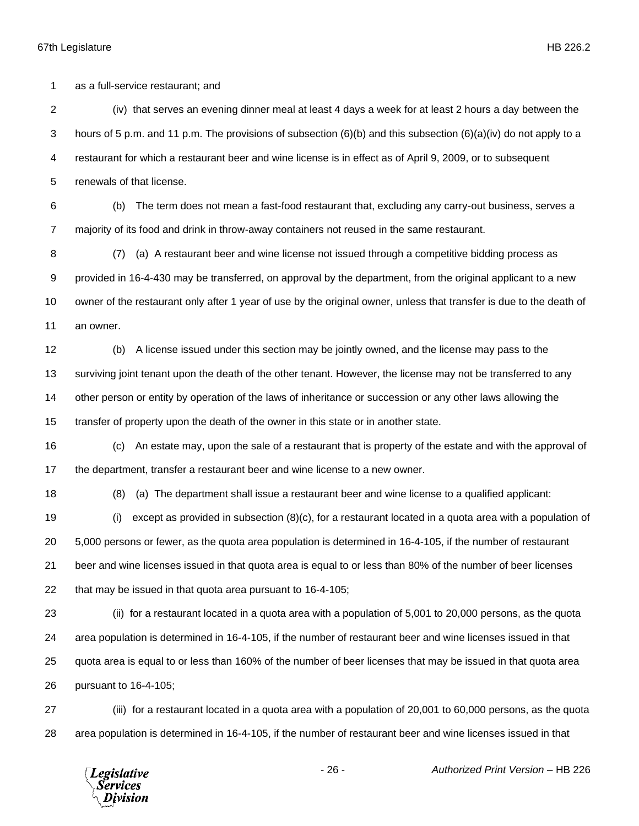as a full-service restaurant; and

 (iv) that serves an evening dinner meal at least 4 days a week for at least 2 hours a day between the hours of 5 p.m. and 11 p.m. The provisions of subsection (6)(b) and this subsection (6)(a)(iv) do not apply to a restaurant for which a restaurant beer and wine license is in effect as of April 9, 2009, or to subsequent renewals of that license.

 (b) The term does not mean a fast-food restaurant that, excluding any carry-out business, serves a majority of its food and drink in throw-away containers not reused in the same restaurant.

 (7) (a) A restaurant beer and wine license not issued through a competitive bidding process as provided in 16-4-430 may be transferred, on approval by the department, from the original applicant to a new owner of the restaurant only after 1 year of use by the original owner, unless that transfer is due to the death of an owner.

 (b) A license issued under this section may be jointly owned, and the license may pass to the surviving joint tenant upon the death of the other tenant. However, the license may not be transferred to any other person or entity by operation of the laws of inheritance or succession or any other laws allowing the transfer of property upon the death of the owner in this state or in another state.

 (c) An estate may, upon the sale of a restaurant that is property of the estate and with the approval of the department, transfer a restaurant beer and wine license to a new owner.

(8) (a) The department shall issue a restaurant beer and wine license to a qualified applicant:

 (i) except as provided in subsection (8)(c), for a restaurant located in a quota area with a population of 5,000 persons or fewer, as the quota area population is determined in 16-4-105, if the number of restaurant beer and wine licenses issued in that quota area is equal to or less than 80% of the number of beer licenses that may be issued in that quota area pursuant to 16-4-105;

 (ii) for a restaurant located in a quota area with a population of 5,001 to 20,000 persons, as the quota area population is determined in 16-4-105, if the number of restaurant beer and wine licenses issued in that quota area is equal to or less than 160% of the number of beer licenses that may be issued in that quota area pursuant to 16-4-105;

 (iii) for a restaurant located in a quota area with a population of 20,001 to 60,000 persons, as the quota area population is determined in 16-4-105, if the number of restaurant beer and wine licenses issued in that

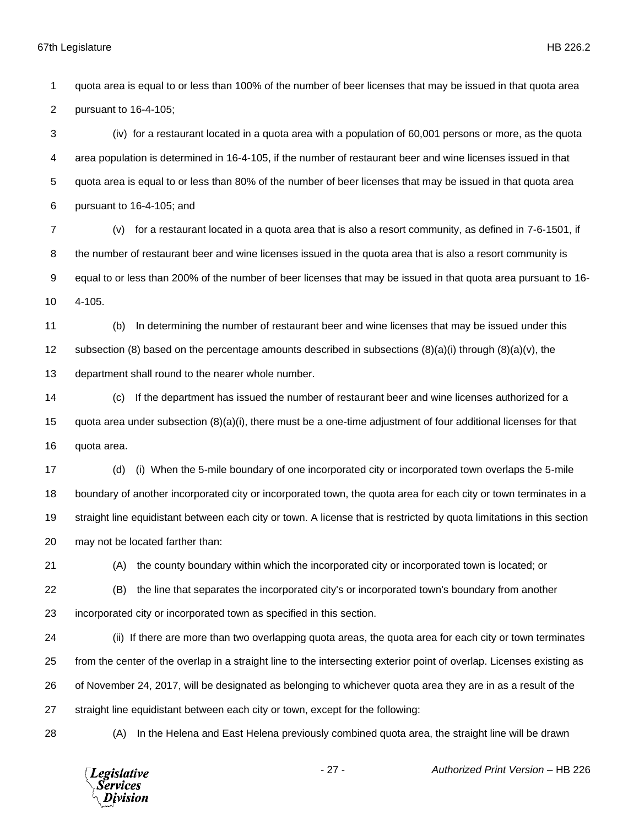quota area is equal to or less than 100% of the number of beer licenses that may be issued in that quota area pursuant to 16-4-105; (iv) for a restaurant located in a quota area with a population of 60,001 persons or more, as the quota

 area population is determined in 16-4-105, if the number of restaurant beer and wine licenses issued in that quota area is equal to or less than 80% of the number of beer licenses that may be issued in that quota area pursuant to 16-4-105; and

 (v) for a restaurant located in a quota area that is also a resort community, as defined in 7-6-1501, if the number of restaurant beer and wine licenses issued in the quota area that is also a resort community is equal to or less than 200% of the number of beer licenses that may be issued in that quota area pursuant to 16- 4-105.

 (b) In determining the number of restaurant beer and wine licenses that may be issued under this 12 subsection (8) based on the percentage amounts described in subsections  $(8)(a)(i)$  through  $(8)(a)(v)$ , the department shall round to the nearer whole number.

 (c) If the department has issued the number of restaurant beer and wine licenses authorized for a quota area under subsection (8)(a)(i), there must be a one-time adjustment of four additional licenses for that quota area.

 (d) (i) When the 5-mile boundary of one incorporated city or incorporated town overlaps the 5-mile boundary of another incorporated city or incorporated town, the quota area for each city or town terminates in a straight line equidistant between each city or town. A license that is restricted by quota limitations in this section may not be located farther than:

(A) the county boundary within which the incorporated city or incorporated town is located; or

 (B) the line that separates the incorporated city's or incorporated town's boundary from another incorporated city or incorporated town as specified in this section.

 (ii) If there are more than two overlapping quota areas, the quota area for each city or town terminates from the center of the overlap in a straight line to the intersecting exterior point of overlap. Licenses existing as of November 24, 2017, will be designated as belonging to whichever quota area they are in as a result of the straight line equidistant between each city or town, except for the following:

(A) In the Helena and East Helena previously combined quota area, the straight line will be drawn

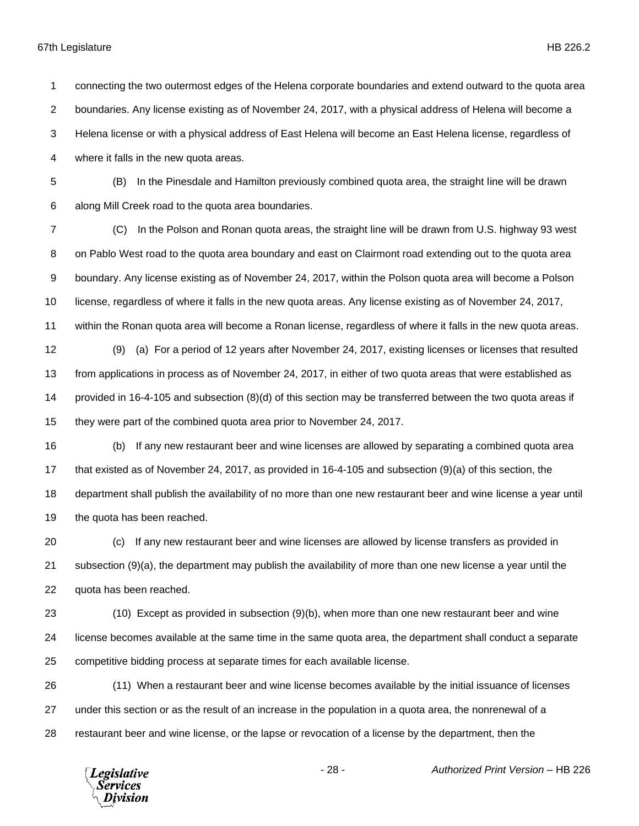connecting the two outermost edges of the Helena corporate boundaries and extend outward to the quota area boundaries. Any license existing as of November 24, 2017, with a physical address of Helena will become a Helena license or with a physical address of East Helena will become an East Helena license, regardless of where it falls in the new quota areas. (B) In the Pinesdale and Hamilton previously combined quota area, the straight line will be drawn along Mill Creek road to the quota area boundaries. (C) In the Polson and Ronan quota areas, the straight line will be drawn from U.S. highway 93 west 8 on Pablo West road to the quota area boundary and east on Clairmont road extending out to the quota area boundary. Any license existing as of November 24, 2017, within the Polson quota area will become a Polson license, regardless of where it falls in the new quota areas. Any license existing as of November 24, 2017, within the Ronan quota area will become a Ronan license, regardless of where it falls in the new quota areas. (9) (a) For a period of 12 years after November 24, 2017, existing licenses or licenses that resulted from applications in process as of November 24, 2017, in either of two quota areas that were established as provided in 16-4-105 and subsection (8)(d) of this section may be transferred between the two quota areas if they were part of the combined quota area prior to November 24, 2017. (b) If any new restaurant beer and wine licenses are allowed by separating a combined quota area that existed as of November 24, 2017, as provided in 16-4-105 and subsection (9)(a) of this section, the department shall publish the availability of no more than one new restaurant beer and wine license a year until

the quota has been reached.

 (c) If any new restaurant beer and wine licenses are allowed by license transfers as provided in subsection (9)(a), the department may publish the availability of more than one new license a year until the quota has been reached.

 (10) Except as provided in subsection (9)(b), when more than one new restaurant beer and wine license becomes available at the same time in the same quota area, the department shall conduct a separate competitive bidding process at separate times for each available license.

 (11) When a restaurant beer and wine license becomes available by the initial issuance of licenses under this section or as the result of an increase in the population in a quota area, the nonrenewal of a restaurant beer and wine license, or the lapse or revocation of a license by the department, then the

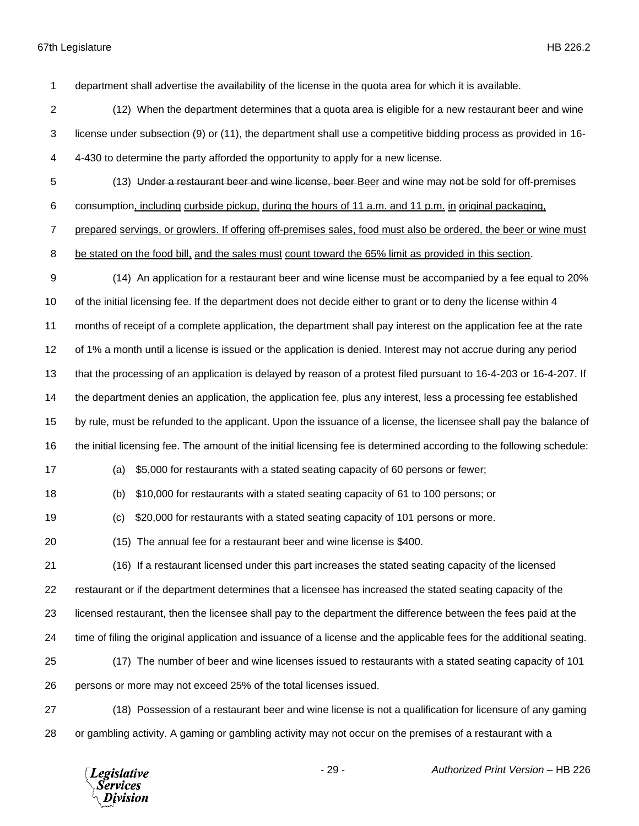department shall advertise the availability of the license in the quota area for which it is available.

- (12) When the department determines that a quota area is eligible for a new restaurant beer and wine license under subsection (9) or (11), the department shall use a competitive bidding process as provided in 16- 4-430 to determine the party afforded the opportunity to apply for a new license.
- 

(13) Under a restaurant beer and wine license, beer Beer and wine may not be sold for off-premises

consumption, including curbside pickup, during the hours of 11 a.m. and 11 p.m. in original packaging,

prepared servings, or growlers. If offering off-premises sales, food must also be ordered, the beer or wine must

be stated on the food bill, and the sales must count toward the 65% limit as provided in this section.

- (14) An application for a restaurant beer and wine license must be accompanied by a fee equal to 20% of the initial licensing fee. If the department does not decide either to grant or to deny the license within 4 months of receipt of a complete application, the department shall pay interest on the application fee at the rate of 1% a month until a license is issued or the application is denied. Interest may not accrue during any period that the processing of an application is delayed by reason of a protest filed pursuant to 16-4-203 or 16-4-207. If the department denies an application, the application fee, plus any interest, less a processing fee established by rule, must be refunded to the applicant. Upon the issuance of a license, the licensee shall pay the balance of the initial licensing fee. The amount of the initial licensing fee is determined according to the following schedule:
- 

(a) \$5,000 for restaurants with a stated seating capacity of 60 persons or fewer;

(b) \$10,000 for restaurants with a stated seating capacity of 61 to 100 persons; or

(c) \$20,000 for restaurants with a stated seating capacity of 101 persons or more.

(15) The annual fee for a restaurant beer and wine license is \$400.

 (16) If a restaurant licensed under this part increases the stated seating capacity of the licensed restaurant or if the department determines that a licensee has increased the stated seating capacity of the licensed restaurant, then the licensee shall pay to the department the difference between the fees paid at the time of filing the original application and issuance of a license and the applicable fees for the additional seating. (17) The number of beer and wine licenses issued to restaurants with a stated seating capacity of 101 persons or more may not exceed 25% of the total licenses issued.

 (18) Possession of a restaurant beer and wine license is not a qualification for licensure of any gaming or gambling activity. A gaming or gambling activity may not occur on the premises of a restaurant with a